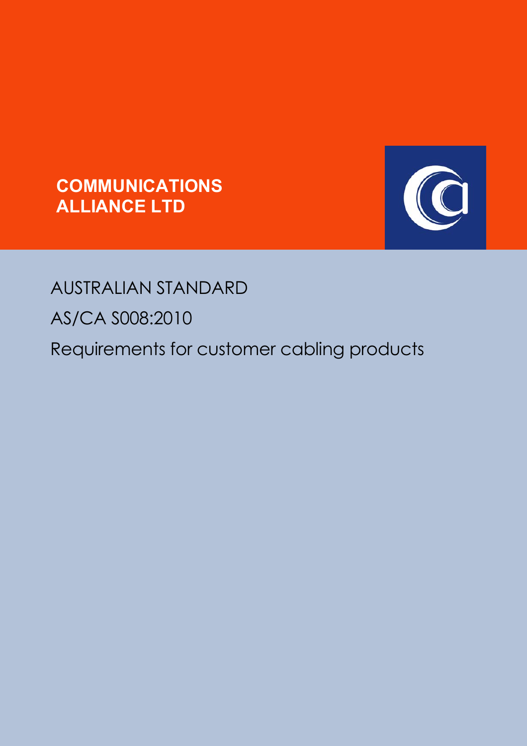



# AUSTRALIAN STANDARD

AS/CA S008:2010

Requirements for customer cabling products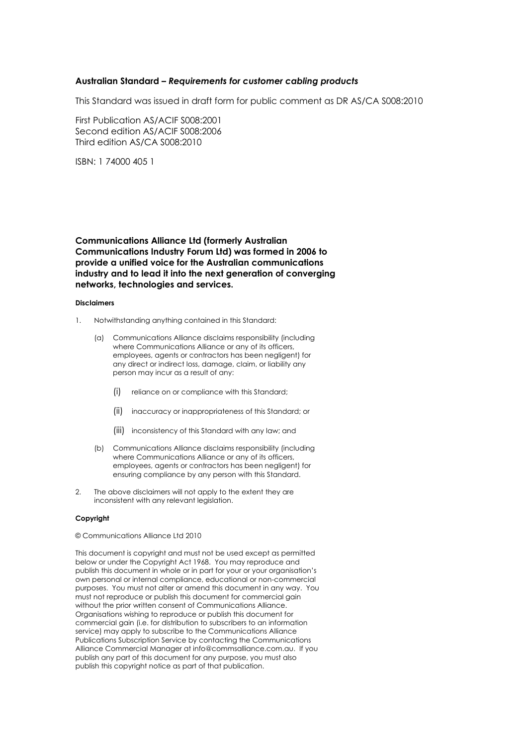#### **Australian Standard –** *Requirements for customer cabling products*

This Standard was issued in draft form for public comment as DR AS/CA S008:2010

First Publication AS/ACIF S008:2001 Second edition AS/ACIF S008:2006 Third edition AS/CA S008:2010

ISBN: 1 74000 405 1

**Communications Alliance Ltd (formerly Australian Communications Industry Forum Ltd) was formed in 2006 to provide a unified voice for the Australian communications industry and to lead it into the next generation of converging networks, technologies and services.**

#### **Disclaimers**

- 1. Notwithstanding anything contained in this Standard:
	- (a) Communications Alliance disclaims responsibility (including where Communications Alliance or any of its officers, employees, agents or contractors has been negligent) for any direct or indirect loss, damage, claim, or liability any person may incur as a result of any:
		- (i) reliance on or compliance with this Standard;
		- (ii) inaccuracy or inappropriateness of this Standard; or
		- (iii) inconsistency of this Standard with any law; and
	- (b) Communications Alliance disclaims responsibility (including where Communications Alliance or any of its officers, employees, agents or contractors has been negligent) for ensuring compliance by any person with this Standard.
- 2. The above disclaimers will not apply to the extent they are inconsistent with any relevant legislation.

#### **Copyright**

© Communications Alliance Ltd 2010

This document is copyright and must not be used except as permitted below or under the Copyright Act 1968. You may reproduce and publish this document in whole or in part for your or your organisation's own personal or internal compliance, educational or non-commercial purposes. You must not alter or amend this document in any way. You must not reproduce or publish this document for commercial gain without the prior written consent of Communications Alliance. Organisations wishing to reproduce or publish this document for commercial gain (i.e. for distribution to subscribers to an information service) may apply to subscribe to the Communications Alliance Publications Subscription Service by contacting the Communications Alliance Commercial Manager at info@commsalliance.com.au. If you publish any part of this document for any purpose, you must also publish this copyright notice as part of that publication.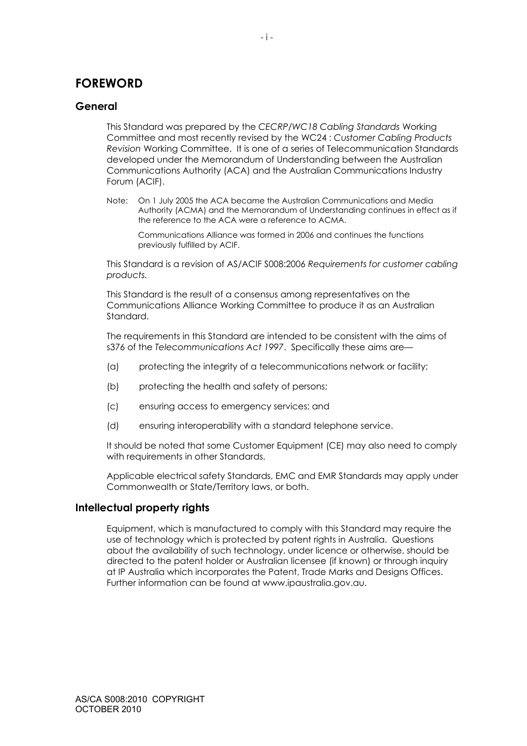# **FOREWORD**

# **General**

This Standard was prepared by the *CECRP/WC18 Cabling Standards* Working Committee and most recently revised by the WC24 : *Customer Cabling Products Revision* Working Committee. It is one of a series of Telecommunication Standards developed under the Memorandum of Understanding between the Australian Communications Authority (ACA) and the Australian Communications Industry Forum (ACIF).

Note: On 1 July 2005 the ACA became the Australian Communications and Media Authority (ACMA) and the Memorandum of Understanding continues in effect as if the reference to the ACA were a reference to ACMA.

Communications Alliance was formed in 2006 and continues the functions previously fulfilled by ACIF.

This Standard is a revision of AS/ACIF S008:2006 *Requirements for customer cabling products.* 

This Standard is the result of a consensus among representatives on the Communications Alliance Working Committee to produce it as an Australian Standard.

The requirements in this Standard are intended to be consistent with the aims of s376 of the *Telecommunications Act 1997*. Specifically these aims are—

- (a) protecting the integrity of a telecommunications network or facility;
- (b) protecting the health and safety of persons;
- (c) ensuring access to emergency services; and
- (d) ensuring interoperability with a standard telephone service.

It should be noted that some Customer Equipment (CE) may also need to comply with requirements in other Standards.

Applicable electrical safety Standards, EMC and EMR Standards may apply under Commonwealth or State/Territory laws, or both.

# **Intellectual property rights**

Equipment, which is manufactured to comply with this Standard may require the use of technology which is protected by patent rights in Australia. Questions about the availability of such technology, under licence or otherwise, should be directed to the patent holder or Australian licensee (if known) or through inquiry at IP Australia which incorporates the Patent, Trade Marks and Designs Offices. Further information can be found at www.ipaustralia.gov.au.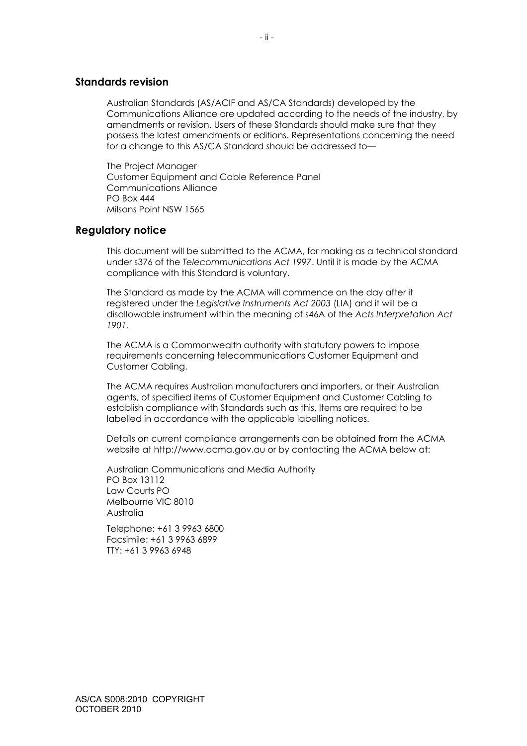## **Standards revision**

Australian Standards (AS/ACIF and AS/CA Standards) developed by the Communications Alliance are updated according to the needs of the industry, by amendments or revision. Users of these Standards should make sure that they possess the latest amendments or editions. Representations concerning the need for a change to this AS/CA Standard should be addressed to—

The Project Manager Customer Equipment and Cable Reference Panel Communications Alliance PO Box 444 Milsons Point NSW 1565

#### **Regulatory notice**

This document will be submitted to the ACMA, for making as a technical standard under s376 of the *Telecommunications Act 1997*. Until it is made by the ACMA compliance with this Standard is voluntary.

The Standard as made by the ACMA will commence on the day after it registered under the *Legislative Instruments Act 2003* (LIA) and it will be a disallowable instrument within the meaning of s46A of the *Acts Interpretation Act 1901*.

The ACMA is a Commonwealth authority with statutory powers to impose requirements concerning telecommunications Customer Equipment and Customer Cabling.

The ACMA requires Australian manufacturers and importers, or their Australian agents, of specified items of Customer Equipment and Customer Cabling to establish compliance with Standards such as this. Items are required to be labelled in accordance with the applicable labelling notices.

Details on current compliance arrangements can be obtained from the ACMA website at http://www.acma.gov.au or by contacting the ACMA below at:

Australian Communications and Media Authority PO Box 13112 Law Courts PO Melbourne VIC 8010 Australia

Telephone: +61 3 9963 6800 Facsimile: +61 3 9963 6899 TTY: +61 3 9963 6948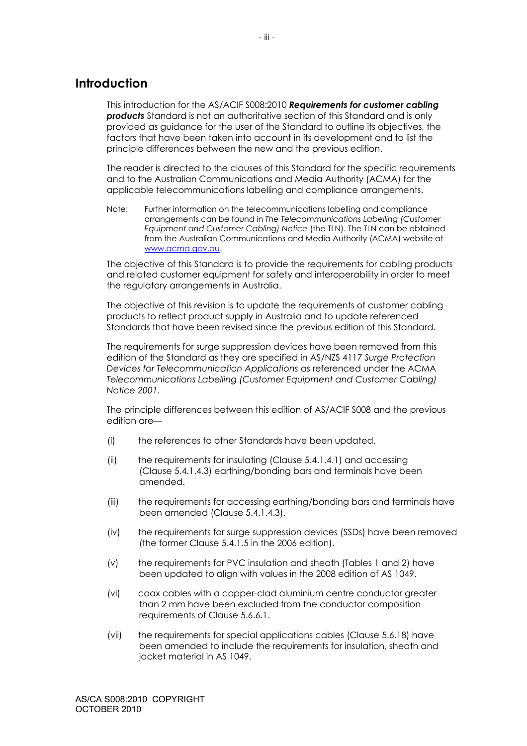# **Introduction**

This introduction for the AS/ACIF S008:2010 *Requirements for customer cabling*  **products** Standard is not an authoritative section of this Standard and is only provided as guidance for the user of the Standard to outline its objectives, the factors that have been taken into account in its development and to list the principle differences between the new and the previous edition.

The reader is directed to the clauses of this Standard for the specific requirements and to the Australian Communications and Media Authority (ACMA) for the applicable telecommunications labelling and compliance arrangements.

Note: Further information on the telecommunications labelling and compliance arrangements can be found in *The Telecommunications Labelling (Customer Equipment and Customer Cabling) Notice* (the TLN). The TLN can be obtained from the Australian Communications and Media Authority (ACMA) website at www.acma.gov.au.

The objective of this Standard is to provide the requirements for cabling products and related customer equipment for safety and interoperability in order to meet the regulatory arrangements in Australia.

The objective of this revision is to update the requirements of customer cabling products to reflect product supply in Australia and to update referenced Standards that have been revised since the previous edition of this Standard.

The requirements for surge suppression devices have been removed from this edition of the Standard as they are specified in AS/NZS 4117 *Surge Protection Devices for Telecommunication Applications* as referenced under the ACMA *Telecommunications Labelling (Customer Equipment and Customer Cabling) Notice 2001.*

The principle differences between this edition of AS/ACIF S008 and the previous edition are—

- (i) the references to other Standards have been updated.
- (ii) the requirements for insulating (Clause 5.4.1.4.1) and accessing (Clause 5.4.1.4.3) earthing/bonding bars and terminals have been amended.
- (iii) the requirements for accessing earthing/bonding bars and terminals have been amended (Clause 5.4.1.4.3).
- (iv) the requirements for surge suppression devices (SSDs) have been removed (the former Clause 5.4.1.5 in the 2006 edition).
- (v) the requirements for PVC insulation and sheath (Tables 1 and 2) have been updated to align with values in the 2008 edition of AS 1049.
- (vi) coax cables with a copper-clad aluminium centre conductor greater than 2 mm have been excluded from the conductor composition requirements of Clause 5.6.6.1.
- (vii) the requirements for special applications cables (Clause 5.6.18) have been amended to include the requirements for insulation, sheath and jacket material in AS 1049.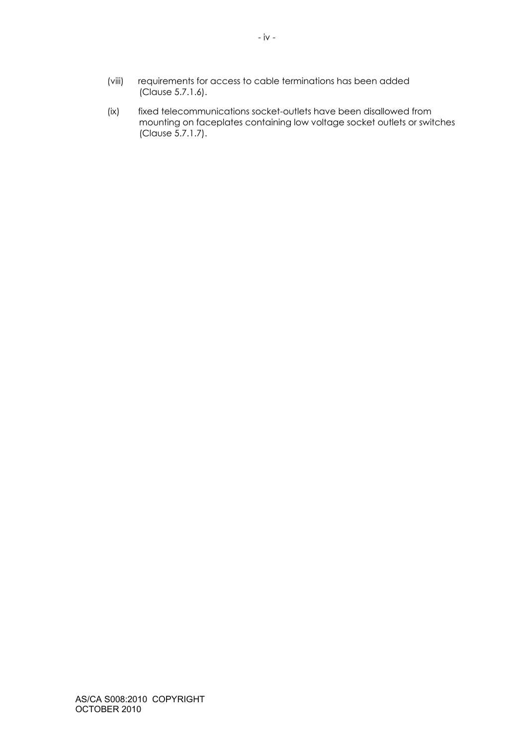- (viii) requirements for access to cable terminations has been added (Clause 5.7.1.6).
- (ix) fixed telecommunications socket-outlets have been disallowed from mounting on faceplates containing low voltage socket outlets or switches (Clause 5.7.1.7).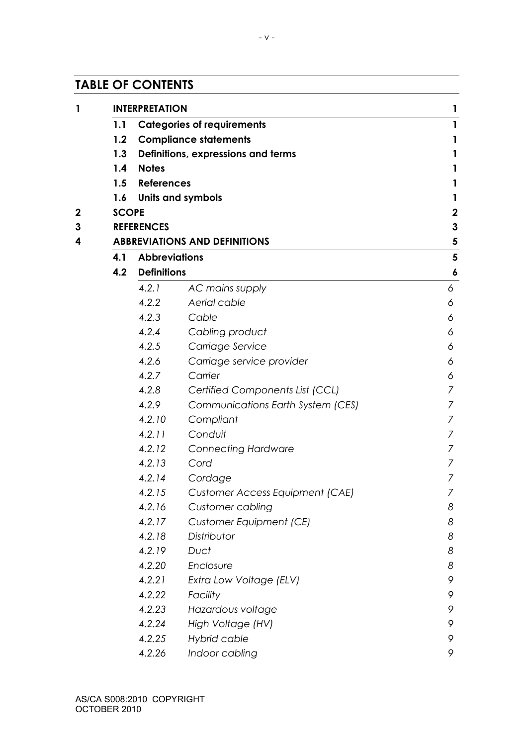# **TABLE OF CONTENTS**

|              | <b>INTERPRETATION</b>        |                                        | 1                       |  |  |
|--------------|------------------------------|----------------------------------------|-------------------------|--|--|
| 1.1          |                              | <b>Categories of requirements</b>      | $\mathbf{1}$            |  |  |
| 1.2          | <b>Compliance statements</b> |                                        |                         |  |  |
| 1.3          |                              | Definitions, expressions and terms     | $\mathbf{1}$            |  |  |
| 1.4          | <b>Notes</b>                 |                                        | 1                       |  |  |
| 1.5          | <b>References</b>            |                                        | 1                       |  |  |
|              |                              | 1.6 Units and symbols                  | $\mathbf{1}$            |  |  |
| <b>SCOPE</b> |                              |                                        | $\boldsymbol{2}$        |  |  |
|              | <b>REFERENCES</b>            |                                        | $\mathbf{3}$            |  |  |
|              |                              | <b>ABBREVIATIONS AND DEFINITIONS</b>   | 5                       |  |  |
| 4.1          | <b>Abbreviations</b>         |                                        | $\overline{\mathbf{5}}$ |  |  |
| 4.2          | <b>Definitions</b>           |                                        | $\boldsymbol{6}$        |  |  |
|              | 4.2.1                        | AC mains supply                        | 6                       |  |  |
|              | 4.2.2                        | Aerial cable                           | 6                       |  |  |
|              | 4.2.3                        | Cable                                  | 6                       |  |  |
|              | 4.2.4                        | Cabling product                        | 6                       |  |  |
|              | 4.2.5                        | Carriage Service                       | 6                       |  |  |
|              | 4.2.6                        | Carriage service provider              | 6                       |  |  |
|              | 4.2.7                        | Carrier                                | 6                       |  |  |
|              | 4.2.8                        | Certified Components List (CCL)        | 7                       |  |  |
|              | 4.2.9                        | Communications Earth System (CES)      | 7                       |  |  |
|              | 4.2.10                       | Compliant                              | 7                       |  |  |
|              | 4.2.11                       | Conduit                                | 7                       |  |  |
|              | 4.2.12                       | <b>Connecting Hardware</b>             | 7                       |  |  |
|              | 4.2.13                       | Cord                                   | 7                       |  |  |
|              | 4.2.14                       | Cordage                                | 7                       |  |  |
|              | 4.2.15                       | <b>Customer Access Equipment (CAE)</b> | Γ                       |  |  |
|              | 4.2.16                       | Customer cabling                       | 8                       |  |  |
|              | 4.2.17                       | Customer Equipment (CE)                | 8                       |  |  |
|              | 4.2.18                       | Distributor                            | 8                       |  |  |
|              | 4.2.19                       | Duct                                   | 8                       |  |  |
|              | 4.2.20                       | Enclosure                              | 8                       |  |  |
|              | 4.2.21                       | Extra Low Voltage (ELV)                | 9                       |  |  |
|              | 4.2.22                       | Facility                               | 9                       |  |  |
|              | 4.2.23                       | Hazardous voltage                      | 9                       |  |  |
|              | 4.2.24                       | High Voltage (HV)                      | 9                       |  |  |
|              | 4.2.25                       | Hybrid cable                           | 9                       |  |  |
|              | 4.2.26                       | Indoor cabling                         | 9                       |  |  |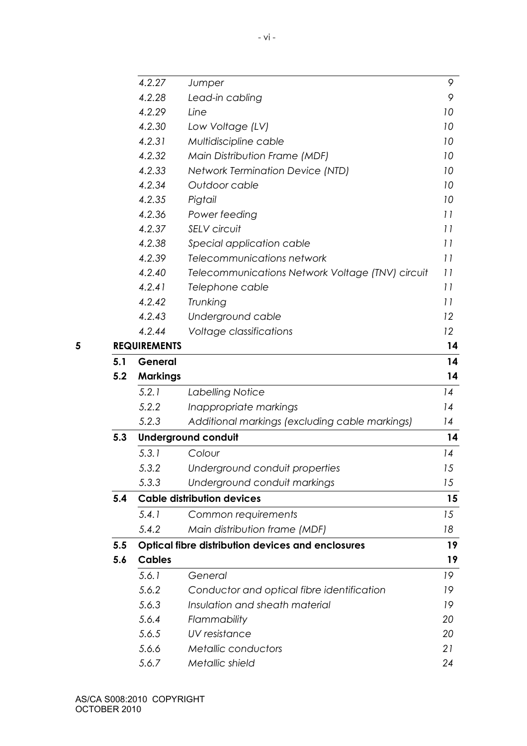|     | 4.2.27              | Jumper                                                   | 9              |
|-----|---------------------|----------------------------------------------------------|----------------|
|     | 4.2.28              | Lead-in cabling                                          | 9              |
|     | 4.2.29              | Line                                                     | 10             |
|     | 4.2.30              | Low Voltage (LV)                                         | 10             |
|     | 4.2.31              | Multidiscipline cable                                    | 10             |
|     | 4.2.32              | Main Distribution Frame (MDF)                            | 10             |
|     | 4.2.33              | <b>Network Termination Device (NTD)</b>                  | 10             |
|     | 4.2.34              | Outdoor cable                                            | 10             |
|     | 4.2.35              | Pigtail                                                  | 10             |
|     | 4.2.36              | Power feeding                                            | 11             |
|     | 4.2.37              | SELV circuit                                             | 11             |
|     | 4.2.38              | Special application cable                                | 11             |
|     | 4.2.39              | Telecommunications network                               | 11             |
|     | 4.2.40              | Telecommunications Network Voltage (TNV) circuit         | 11             |
|     | 4.2.41              | Telephone cable                                          | 11             |
|     | 4.2.42              | Trunking                                                 | 11             |
|     | 4.2.43              | Underground cable                                        | 12             |
|     | 4.2.44              | Voltage classifications                                  | 12             |
|     | <b>REQUIREMENTS</b> |                                                          | 14             |
| 5.1 | General             |                                                          | 14             |
| 5.2 | <b>Markings</b>     |                                                          | 14             |
|     | 5.2.1               | Labelling Notice                                         | 14             |
|     | 5.2.2               | Inappropriate markings                                   | 14             |
|     | 5.2.3               | Additional markings (excluding cable markings)           | 14             |
| 5.3 |                     | <b>Underground conduit</b>                               | 14             |
|     | 5.3.1               | Colour                                                   | 14             |
|     | 5.3.2               | Underground conduit properties                           | 15             |
|     | 5.3.3               | Underground conduit markings                             | 15             |
| 5.4 |                     | <b>Cable distribution devices</b>                        | 15             |
|     |                     |                                                          |                |
|     | 5.4.1               |                                                          | 15             |
|     | 5.4.2               | Common requirements<br>Main distribution frame (MDF)     | 18             |
| 5.5 |                     |                                                          |                |
| 5.6 | <b>Cables</b>       | <b>Optical fibre distribution devices and enclosures</b> |                |
|     |                     |                                                          |                |
|     | 5.6.1               | General                                                  | 19             |
|     | 5.6.2               | Conductor and optical fibre identification               | 19<br>19       |
|     | 5.6.3               | Insulation and sheath material                           |                |
|     | 5.6.4               | Flammability                                             | 19<br>19<br>20 |
|     | 5.6.5<br>5.6.6      | UV resistance<br>Metallic conductors                     | 20<br>21       |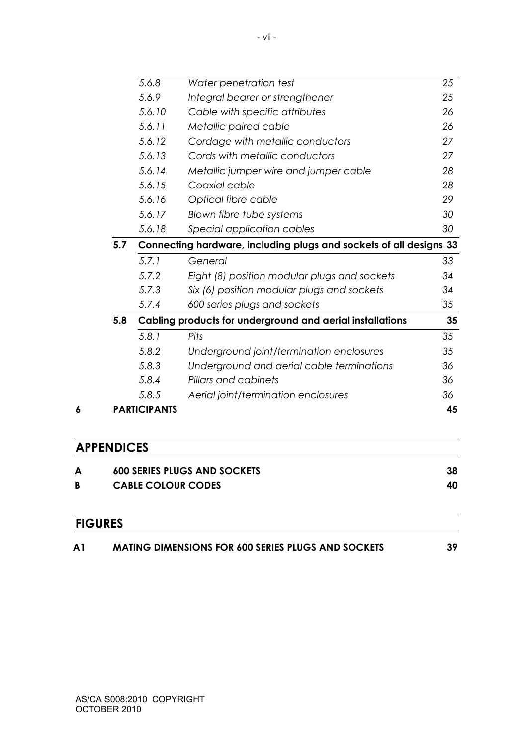|     | 5.6.8  | Water penetration test                                             | 25 |
|-----|--------|--------------------------------------------------------------------|----|
|     | 5.6.9  | Integral bearer or strengthener                                    | 25 |
|     | 5.6.10 | Cable with specific attributes                                     | 26 |
|     | 5.6.11 | Metallic paired cable                                              | 26 |
|     | 5.6.12 | Cordage with metallic conductors                                   | 27 |
|     | 5.6.13 | Cords with metallic conductors                                     | 27 |
|     | 5.6.14 | Metallic jumper wire and jumper cable                              | 28 |
|     | 5.6.15 | Coaxial cable                                                      | 28 |
|     | 5.6.16 | Optical fibre cable                                                | 29 |
|     | 5.6.17 | Blown fibre tube systems                                           | 30 |
|     | 5.6.18 | Special application cables                                         | 30 |
| 5.7 |        | Connecting hardware, including plugs and sockets of all designs 33 |    |
|     | 5.7.1  | General                                                            | 33 |
|     | 5.7.2  | Eight (8) position modular plugs and sockets                       | 34 |
|     | 5.7.3  | Six (6) position modular plugs and sockets                         | 34 |
|     | 5.7.4  | 600 series plugs and sockets                                       | 35 |
| 5.8 |        | Cabling products for underground and aerial installations          | 35 |
|     | 5.8.1  | Pits                                                               | 35 |
|     |        |                                                                    | 35 |
|     | 5.8.2  | Underground joint/termination enclosures                           |    |
|     | 5.8.3  | Underground and aerial cable terminations                          | 36 |
|     | 5.8.4  | Pillars and cabinets                                               | 36 |
|     | 5.8.5  | Aerial joint/termination enclosures                                | 36 |

# **APPENDICES**

|  | <b>600 SERIES PLUGS AND SOCKETS</b> | 38 |
|--|-------------------------------------|----|
|  | <b>CABLE COLOUR CODES</b>           | 40 |
|  |                                     |    |

# **FIGURES**

| <b>MATING DIMENSIONS FOR 600 SERIES PLUGS AND SOCKETS</b> |  |
|-----------------------------------------------------------|--|
|                                                           |  |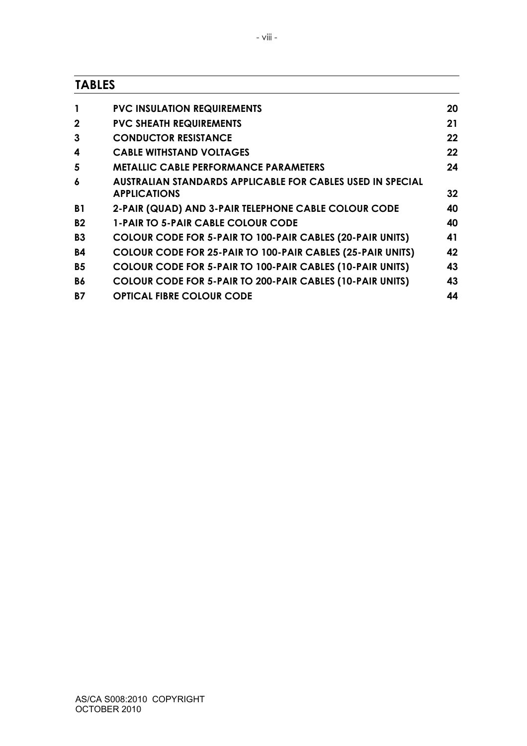# **TABLES**

|              | <b>PVC INSULATION REQUIREMENTS</b>                                                       | 20 |
|--------------|------------------------------------------------------------------------------------------|----|
| $\mathbf{2}$ | <b>PVC SHEATH REQUIREMENTS</b>                                                           | 21 |
| 3            | <b>CONDUCTOR RESISTANCE</b>                                                              | 22 |
| 4            | <b>CABLE WITHSTAND VOLTAGES</b>                                                          | 22 |
| 5            | <b>METALLIC CABLE PERFORMANCE PARAMETERS</b>                                             | 24 |
| 6            | <b>AUSTRALIAN STANDARDS APPLICABLE FOR CABLES USED IN SPECIAL</b><br><b>APPLICATIONS</b> | 32 |
| <b>B1</b>    | 2-PAIR (QUAD) AND 3-PAIR TELEPHONE CABLE COLOUR CODE                                     | 40 |
| <b>B2</b>    | <b>1-PAIR TO 5-PAIR CABLE COLOUR CODE</b>                                                | 40 |
| <b>B3</b>    | <b>COLOUR CODE FOR 5-PAIR TO 100-PAIR CABLES (20-PAIR UNITS)</b>                         | 41 |
| <b>B4</b>    | COLOUR CODE FOR 25-PAIR TO 100-PAIR CABLES (25-PAIR UNITS)                               | 42 |
| <b>B5</b>    | COLOUR CODE FOR 5-PAIR TO 100-PAIR CABLES (10-PAIR UNITS)                                | 43 |
| <b>B6</b>    | COLOUR CODE FOR 5-PAIR TO 200-PAIR CABLES (10-PAIR UNITS)                                | 43 |
| <b>B7</b>    | <b>OPTICAL FIBRE COLOUR CODE</b>                                                         | 44 |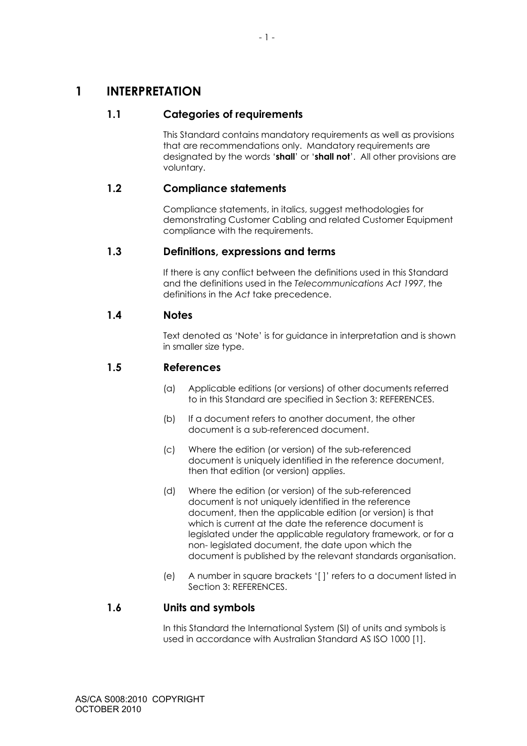# **1 INTERPRETATION**

# **1.1 Categories of requirements**

This Standard contains mandatory requirements as well as provisions that are recommendations only. Mandatory requirements are designated by the words '**shall**' or '**shall not**'. All other provisions are voluntary.

# **1.2 Compliance statements**

Compliance statements, in italics, suggest methodologies for demonstrating Customer Cabling and related Customer Equipment compliance with the requirements.

# **1.3 Definitions, expressions and terms**

If there is any conflict between the definitions used in this Standard and the definitions used in the *Telecommunications Act 1997*, the definitions in the *Act* take precedence.

# **1.4 Notes**

Text denoted as 'Note' is for guidance in interpretation and is shown in smaller size type.

# **1.5 References**

- (a) Applicable editions (or versions) of other documents referred to in this Standard are specified in Section 3: REFERENCES.
- (b) If a document refers to another document, the other document is a sub-referenced document.
- (c) Where the edition (or version) of the sub-referenced document is uniquely identified in the reference document, then that edition (or version) applies.
- (d) Where the edition (or version) of the sub-referenced document is not uniquely identified in the reference document, then the applicable edition (or version) is that which is current at the date the reference document is legislated under the applicable regulatory framework, or for a non- legislated document, the date upon which the document is published by the relevant standards organisation.
- (e) A number in square brackets '[ ]' refers to a document listed in Section 3: REFERENCES.

# **1.6 Units and symbols**

In this Standard the International System (SI) of units and symbols is used in accordance with Australian Standard AS ISO 1000 [1].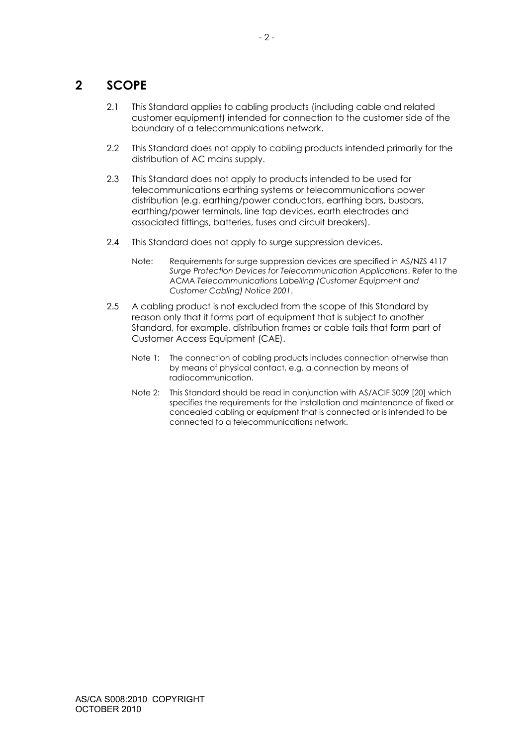# **2 SCOPE**

- 2.1 This Standard applies to cabling products (including cable and related customer equipment) intended for connection to the customer side of the boundary of a telecommunications network.
- 2.2 This Standard does not apply to cabling products intended primarily for the distribution of AC mains supply.
- 2.3 This Standard does not apply to products intended to be used for telecommunications earthing systems or telecommunications power distribution (e.g. earthing/power conductors, earthing bars, busbars, earthing/power terminals, line tap devices, earth electrodes and associated fittings, batteries, fuses and circuit breakers).
- 2.4 This Standard does not apply to surge suppression devices.
	- Note: Requirements for surge suppression devices are specified in AS/NZS 4117 *Surge Protection Devices for Telecommunication Applications*. Refer to the ACMA *Telecommunications Labelling (Customer Equipment and Customer Cabling) Notice 2001*.
- 2.5 A cabling product is not excluded from the scope of this Standard by reason only that it forms part of equipment that is subject to another Standard, for example, distribution frames or cable tails that form part of Customer Access Equipment (CAE).
	- Note 1: The connection of cabling products includes connection otherwise than by means of physical contact, e.g. a connection by means of radiocommunication.
	- Note 2: This Standard should be read in conjunction with AS/ACIF S009 [20] which specifies the requirements for the installation and maintenance of fixed or concealed cabling or equipment that is connected or is intended to be connected to a telecommunications network.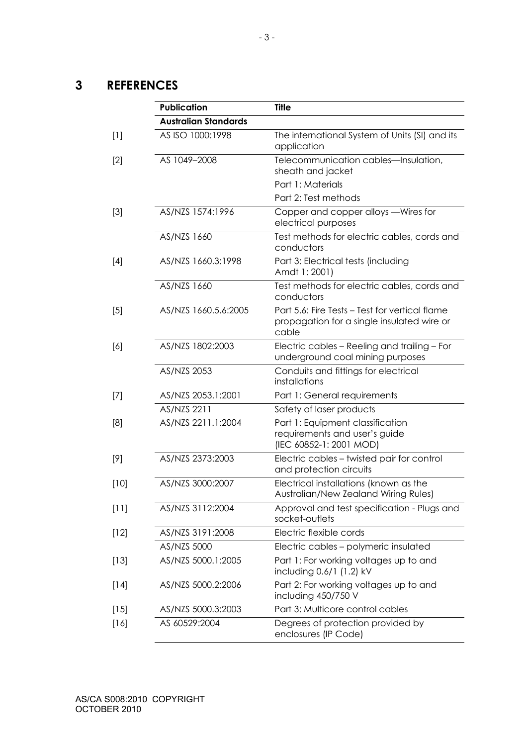# **3 REFERENCES**

|        | <b>Publication</b>          | <b>Title</b>                                                                                          |
|--------|-----------------------------|-------------------------------------------------------------------------------------------------------|
|        | <b>Australian Standards</b> |                                                                                                       |
| $[1]$  | AS ISO 1000:1998            | The international System of Units (SI) and its<br>application                                         |
| $[2]$  | AS 1049-2008                | Telecommunication cables-Insulation,<br>sheath and jacket                                             |
|        |                             | Part 1: Materials                                                                                     |
|        |                             | Part 2: Test methods                                                                                  |
| $[3]$  | AS/NZS 1574:1996            | Copper and copper alloys - Wires for<br>electrical purposes                                           |
|        | AS/NZS 1660                 | Test methods for electric cables, cords and<br>conductors                                             |
| $[4]$  | AS/NZS 1660.3:1998          | Part 3: Electrical tests (including<br>Amdt 1: 2001)                                                  |
|        | AS/NZS 1660                 | Test methods for electric cables, cords and<br>conductors                                             |
| $[5]$  | AS/NZS 1660.5.6:2005        | Part 5.6: Fire Tests - Test for vertical flame<br>propagation for a single insulated wire or<br>cable |
| [6]    | AS/NZS 1802:2003            | Electric cables - Reeling and trailing - For<br>underground coal mining purposes                      |
|        | AS/NZS 2053                 | Conduits and fittings for electrical<br>installations                                                 |
| $[7]$  | AS/NZS 2053.1:2001          | Part 1: General requirements                                                                          |
|        | AS/NZS 2211                 | Safety of laser products                                                                              |
| [8]    | AS/NZS 2211.1:2004          | Part 1: Equipment classification<br>requirements and user's guide<br>(IEC 60852-1: 2001 MOD)          |
| [9]    | AS/NZS 2373:2003            | Electric cables - twisted pair for control<br>and protection circuits                                 |
| $[10]$ | AS/NZS 3000:2007            | Electrical installations (known as the<br>Australian/New Zealand Wiring Rules)                        |
| $[11]$ | AS/NZS 3112:2004            | Approval and test specification - Plugs and<br>socket-outlets                                         |
| $[12]$ | AS/NZS 3191:2008            | Electric flexible cords                                                                               |
|        | AS/NZS 5000                 | Electric cables - polymeric insulated                                                                 |
| $[13]$ | AS/NZS 5000.1:2005          | Part 1: For working voltages up to and<br>including 0.6/1 (1.2) kV                                    |
| $[14]$ | AS/NZS 5000.2:2006          | Part 2: For working voltages up to and<br>including 450/750 V                                         |
| $[15]$ | AS/NZS 5000.3:2003          | Part 3: Multicore control cables                                                                      |
| $[16]$ | AS 60529:2004               | Degrees of protection provided by<br>enclosures (IP Code)                                             |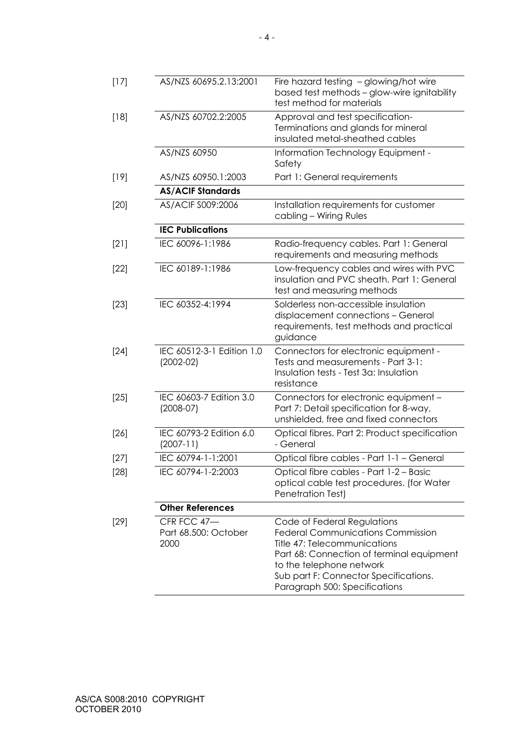| $[17]$ | AS/NZS 60695.2.13:2001                      | Fire hazard testing - glowing/hot wire<br>based test methods - glow-wire ignitability<br>test method for materials                                                                                                                                         |
|--------|---------------------------------------------|------------------------------------------------------------------------------------------------------------------------------------------------------------------------------------------------------------------------------------------------------------|
| $[18]$ | AS/NZS 60702.2:2005                         | Approval and test specification-<br>Terminations and glands for mineral<br>insulated metal-sheathed cables                                                                                                                                                 |
|        | AS/NZS 60950                                | Information Technology Equipment -<br>Safety                                                                                                                                                                                                               |
| $[19]$ | AS/NZS 60950.1:2003                         | Part 1: General requirements                                                                                                                                                                                                                               |
|        | <b>AS/ACIF Standards</b>                    |                                                                                                                                                                                                                                                            |
| $[20]$ | AS/ACIF S009:2006                           | Installation requirements for customer<br>cabling - Wiring Rules                                                                                                                                                                                           |
|        | <b>IEC Publications</b>                     |                                                                                                                                                                                                                                                            |
| [2]    | IEC 60096-1:1986                            | Radio-frequency cables. Part 1: General<br>requirements and measuring methods                                                                                                                                                                              |
| $[22]$ | IEC 60189-1:1986                            | Low-frequency cables and wires with PVC<br>insulation and PVC sheath. Part 1: General<br>test and measuring methods                                                                                                                                        |
| $[23]$ | IEC 60352-4:1994                            | Solderless non-accessible insulation<br>displacement connections - General<br>requirements, test methods and practical<br>guidance                                                                                                                         |
| $[24]$ | IEC 60512-3-1 Edition 1.0<br>$(2002 - 02)$  | Connectors for electronic equipment -<br>Tests and measurements - Part 3-1:<br>Insulation tests - Test 3a: Insulation<br>resistance                                                                                                                        |
| $[25]$ | IEC 60603-7 Edition 3.0<br>$(2008-07)$      | Connectors for electronic equipment -<br>Part 7: Detail specification for 8-way,<br>unshielded, free and fixed connectors                                                                                                                                  |
| $[26]$ | IEC 60793-2 Edition 6.0<br>$(2007 - 11)$    | Optical fibres. Part 2: Product specification<br>- General                                                                                                                                                                                                 |
| $[27]$ | IEC 60794-1-1:2001                          | Optical fibre cables - Part 1-1 - General                                                                                                                                                                                                                  |
| $[28]$ | IEC 60794-1-2:2003                          | Optical fibre cables - Part 1-2 - Basic<br>optical cable test procedures. (for Water<br>Penetration Test)                                                                                                                                                  |
|        | <b>Other References</b>                     |                                                                                                                                                                                                                                                            |
| $[29]$ | CFR FCC 47-<br>Part 68.500: October<br>2000 | Code of Federal Regulations<br><b>Federal Communications Commission</b><br>Title 47: Telecommunications<br>Part 68: Connection of terminal equipment<br>to the telephone network<br>Sub part F: Connector Specifications.<br>Paragraph 500: Specifications |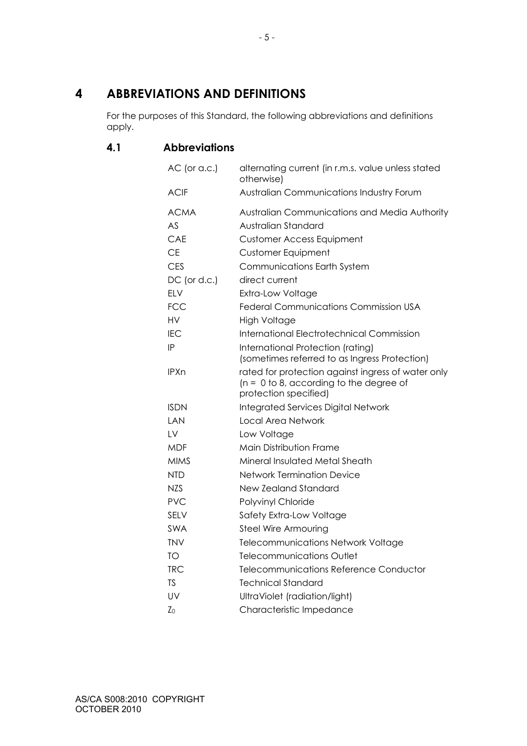# **4 ABBREVIATIONS AND DEFINITIONS**

For the purposes of this Standard, the following abbreviations and definitions apply.

# **4.1 Abbreviations**

| $AC$ (or a.c.) | alternating current (in r.m.s. value unless stated<br>otherwise)   |
|----------------|--------------------------------------------------------------------|
| <b>ACIF</b>    | <b>Australian Communications Industry Forum</b>                    |
| <b>ACMA</b>    | Australian Communications and Media Authority                      |
| AS             | Australian Standard                                                |
| CAE            | <b>Customer Access Equipment</b>                                   |
| <b>CE</b>      | <b>Customer Equipment</b>                                          |
| <b>CES</b>     | <b>Communications Earth System</b>                                 |
| $DC$ (or d.c.) | direct current                                                     |
| <b>ELV</b>     | Extra-Low Voltage                                                  |
| <b>FCC</b>     | Federal Communications Commission USA                              |
| HV             | <b>High Voltage</b>                                                |
| <b>IEC</b>     | International Electrotechnical Commission                          |
| IP             | International Protection (rating)                                  |
|                | (sometimes referred to as Ingress Protection)                      |
| <b>IPXn</b>    | rated for protection against ingress of water only                 |
|                | $(n = 0 to 8, according to the degree of$<br>protection specified) |
| <b>ISDN</b>    | Integrated Services Digital Network                                |
| I AN           | <b>Local Area Network</b>                                          |
| LV             | Low Voltage                                                        |
| <b>MDF</b>     | Main Distribution Frame                                            |
| <b>MIMS</b>    | Mineral Insulated Metal Sheath                                     |
| <b>NTD</b>     | <b>Network Termination Device</b>                                  |
| <b>NZS</b>     | <b>New Zealand Standard</b>                                        |
| <b>PVC</b>     | Polyvinyl Chloride                                                 |
| <b>SELV</b>    | Safety Extra-Low Voltage                                           |
| <b>SWA</b>     | Steel Wire Armouring                                               |
| <b>TNV</b>     | <b>Telecommunications Network Voltage</b>                          |
| TO             | Telecommunications Outlet                                          |
| <b>TRC</b>     | Telecommunications Reference Conductor                             |
| <b>TS</b>      | <b>Technical Standard</b>                                          |
| UV             | UltraViolet (radiation/light)                                      |
| Z <sub>0</sub> | Characteristic Impedance                                           |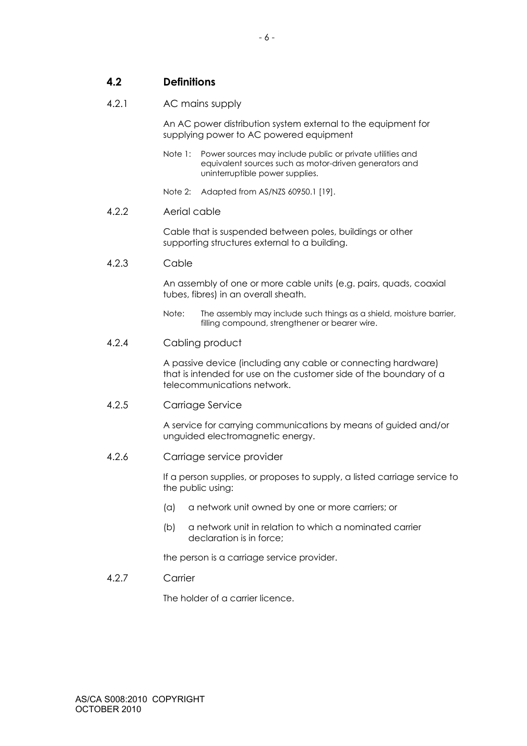**4.2 Definitions** 

#### 4.2.1 AC mains supply

An AC power distribution system external to the equipment for supplying power to AC powered equipment

- Note 1: Power sources may include public or private utilities and equivalent sources such as motor-driven generators and uninterruptible power supplies.
- Note 2: Adapted from AS/NZS 60950.1 [19].

#### 4.2.2 Aerial cable

Cable that is suspended between poles, buildings or other supporting structures external to a building.

#### 4.2.3 Cable

An assembly of one or more cable units (e.g. pairs, quads, coaxial tubes, fibres) in an overall sheath.

Note: The assembly may include such things as a shield, moisture barrier, filling compound, strengthener or bearer wire.

#### 4.2.4 Cabling product

A passive device (including any cable or connecting hardware) that is intended for use on the customer side of the boundary of a telecommunications network.

# 4.2.5 Carriage Service

A service for carrying communications by means of guided and/or unguided electromagnetic energy.

# 4.2.6 Carriage service provider

If a person supplies, or proposes to supply, a listed carriage service to the public using:

- (a) a network unit owned by one or more carriers; or
- (b) a network unit in relation to which a nominated carrier declaration is in force;

the person is a carriage service provider.

## 4.2.7 Carrier

The holder of a carrier licence.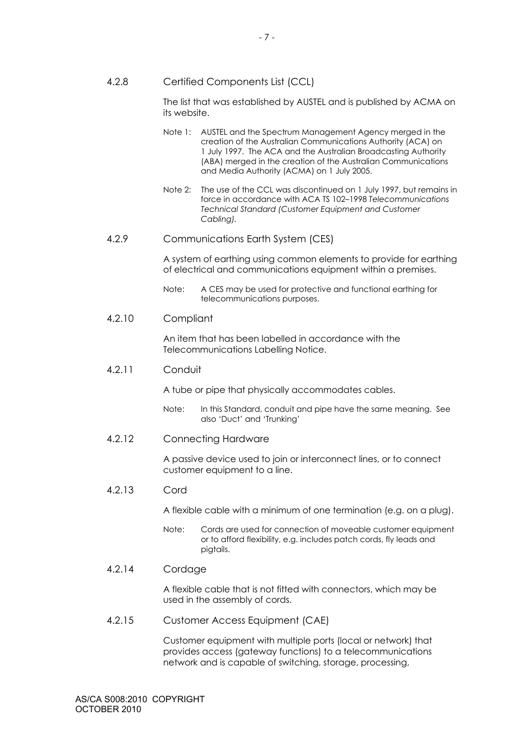4.2.8 Certified Components List (CCL)

The list that was established by AUSTEL and is published by ACMA on its website.

- Note 1: AUSTEL and the Spectrum Management Agency merged in the creation of the Australian Communications Authority (ACA) on 1 July 1997. The ACA and the Australian Broadcasting Authority (ABA) merged in the creation of the Australian Communications and Media Authority (ACMA) on 1 July 2005.
- Note 2: The use of the CCL was discontinued on 1 July 1997, but remains in force in accordance with ACA TS 102–1998 *Telecommunications Technical Standard (Customer Equipment and Customer Cabling).*
- 4.2.9 Communications Earth System (CES)

A system of earthing using common elements to provide for earthing of electrical and communications equipment within a premises.

Note: A CES may be used for protective and functional earthing for telecommunications purposes.

#### 4.2.10 Compliant

An item that has been labelled in accordance with the Telecommunications Labelling Notice.

4.2.11 Conduit

A tube or pipe that physically accommodates cables.

- Note: In this Standard, conduit and pipe have the same meaning. See also 'Duct' and 'Trunking'
- 4.2.12 Connecting Hardware

A passive device used to join or interconnect lines, or to connect customer equipment to a line.

4.2.13 Cord

A flexible cable with a minimum of one termination (e.g. on a plug).

Note: Cords are used for connection of moveable customer equipment or to afford flexibility, e.g. includes patch cords, fly leads and pigtails.

# 4.2.14 Cordage

A flexible cable that is not fitted with connectors, which may be used in the assembly of cords.

4.2.15 Customer Access Equipment (CAE)

Customer equipment with multiple ports (local or network) that provides access (gateway functions) to a telecommunications network and is capable of switching, storage, processing,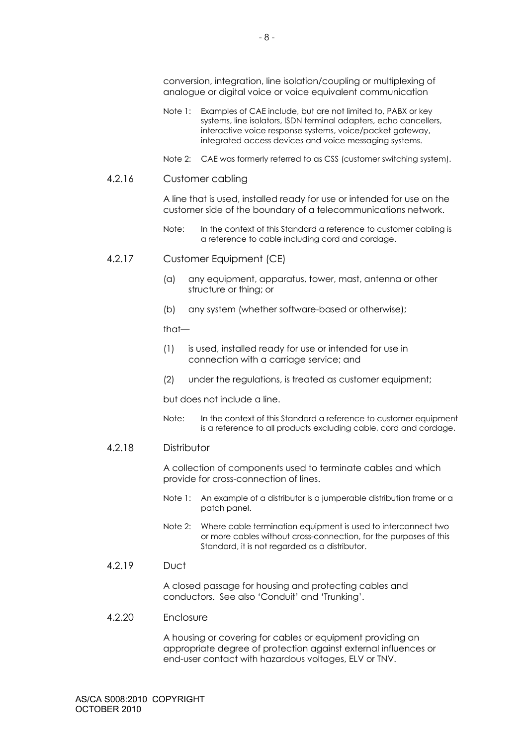conversion, integration, line isolation/coupling or multiplexing of analogue or digital voice or voice equivalent communication

- Note 1: Examples of CAE include, but are not limited to, PABX or key systems, line isolators, ISDN terminal adapters, echo cancellers, interactive voice response systems, voice/packet gateway, integrated access devices and voice messaging systems.
- Note 2: CAE was formerly referred to as CSS (customer switching system).

#### 4.2.16 Customer cabling

A line that is used, installed ready for use or intended for use on the customer side of the boundary of a telecommunications network.

- Note: In the context of this Standard a reference to customer cabling is a reference to cable including cord and cordage.
- 4.2.17 Customer Equipment (CE)
	- (a) any equipment, apparatus, tower, mast, antenna or other structure or thing; or
	- (b) any system (whether software-based or otherwise);

that—

- (1) is used, installed ready for use or intended for use in connection with a carriage service; and
- (2) under the regulations, is treated as customer equipment;

but does not include a line.

Note: In the context of this Standard a reference to customer equipment is a reference to all products excluding cable, cord and cordage.

#### 4.2.18 Distributor

A collection of components used to terminate cables and which provide for cross-connection of lines.

- Note 1: An example of a distributor is a jumperable distribution frame or a patch panel.
- Note 2: Where cable termination equipment is used to interconnect two or more cables without cross-connection, for the purposes of this Standard, it is not regarded as a distributor.

#### 4.2.19 Duct

A closed passage for housing and protecting cables and conductors. See also 'Conduit' and 'Trunking'.

## 4.2.20 Enclosure

A housing or covering for cables or equipment providing an appropriate degree of protection against external influences or end-user contact with hazardous voltages, ELV or TNV.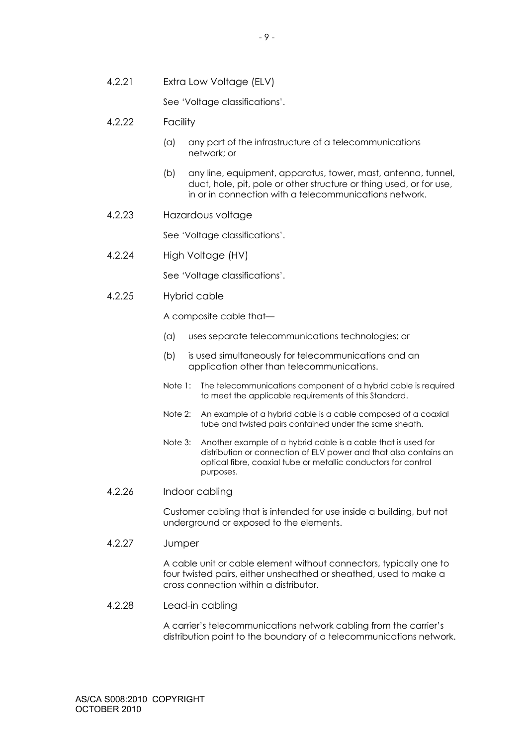4.2.21 Extra Low Voltage (ELV)

See 'Voltage classifications'.

- 4.2.22 Facility
	- (a) any part of the infrastructure of a telecommunications network; or
	- (b) any line, equipment, apparatus, tower, mast, antenna, tunnel, duct, hole, pit, pole or other structure or thing used, or for use, in or in connection with a telecommunications network.
- 4.2.23 Hazardous voltage

See 'Voltage classifications'.

4.2.24 High Voltage (HV)

See 'Voltage classifications'.

4.2.25 Hybrid cable

A composite cable that—

- (a) uses separate telecommunications technologies; or
- (b) is used simultaneously for telecommunications and an application other than telecommunications.
- Note 1: The telecommunications component of a hybrid cable is required to meet the applicable requirements of this Standard.
- Note 2: An example of a hybrid cable is a cable composed of a coaxial tube and twisted pairs contained under the same sheath.
- Note 3: Another example of a hybrid cable is a cable that is used for distribution or connection of ELV power and that also contains an optical fibre, coaxial tube or metallic conductors for control purposes.
- 4.2.26 Indoor cabling

Customer cabling that is intended for use inside a building, but not underground or exposed to the elements.

4.2.27 Jumper

A cable unit or cable element without connectors, typically one to four twisted pairs, either unsheathed or sheathed, used to make a cross connection within a distributor.

4.2.28 Lead-in cabling

A carrier's telecommunications network cabling from the carrier's distribution point to the boundary of a telecommunications network.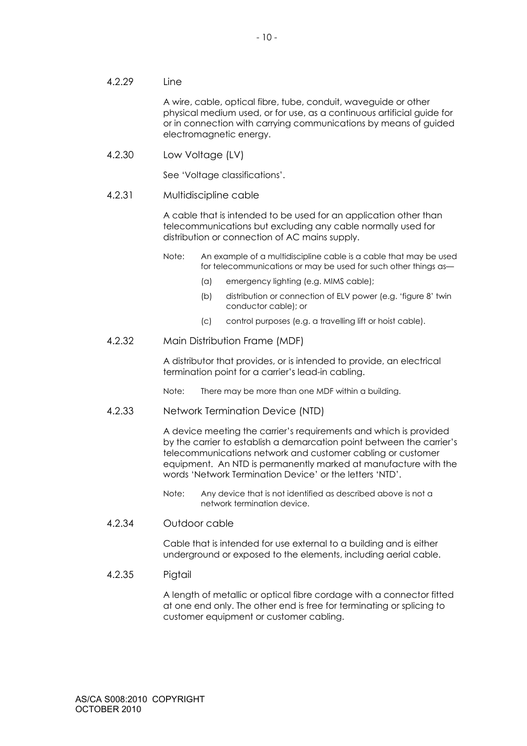#### 4.2.29 Line

A wire, cable, optical fibre, tube, conduit, waveguide or other physical medium used, or for use, as a continuous artificial guide for or in connection with carrying communications by means of guided electromagnetic energy.

## 4.2.30 Low Voltage (LV)

See 'Voltage classifications'.

## 4.2.31 Multidiscipline cable

A cable that is intended to be used for an application other than telecommunications but excluding any cable normally used for distribution or connection of AC mains supply.

- Note: An example of a multidiscipline cable is a cable that may be used for telecommunications or may be used for such other things as—
	- (a) emergency lighting (e.g. MIMS cable);
	- (b) distribution or connection of ELV power (e.g. 'figure 8' twin conductor cable); or
	- (c) control purposes (e.g. a travelling lift or hoist cable).

## 4.2.32 Main Distribution Frame (MDF)

A distributor that provides, or is intended to provide, an electrical termination point for a carrier's lead-in cabling.

Note: There may be more than one MDF within a building.

#### 4.2.33 Network Termination Device (NTD)

A device meeting the carrier's requirements and which is provided by the carrier to establish a demarcation point between the carrier's telecommunications network and customer cabling or customer equipment. An NTD is permanently marked at manufacture with the words 'Network Termination Device' or the letters 'NTD'.

- Note: Any device that is not identified as described above is not a network termination device.
- 4.2.34 Outdoor cable

Cable that is intended for use external to a building and is either underground or exposed to the elements, including aerial cable.

#### 4.2.35 Pigtail

A length of metallic or optical fibre cordage with a connector fitted at one end only. The other end is free for terminating or splicing to customer equipment or customer cabling.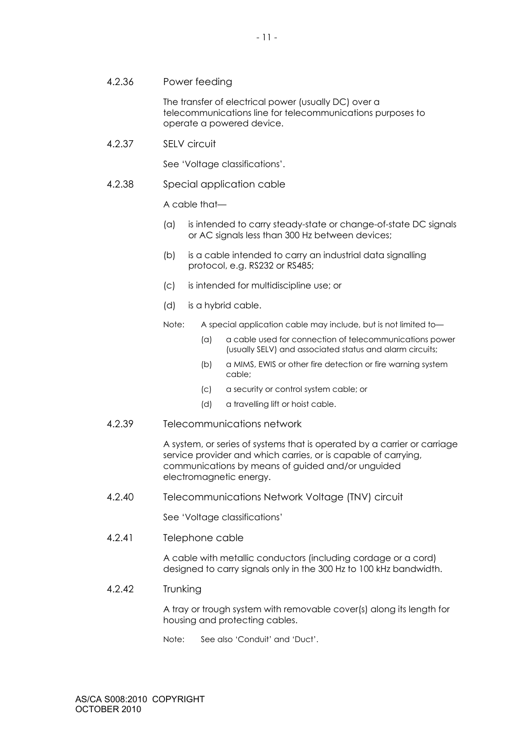4.2.36 Power feeding

The transfer of electrical power (usually DC) over a telecommunications line for telecommunications purposes to operate a powered device.

4.2.37 SELV circuit

See 'Voltage classifications'.

4.2.38 Special application cable

A cable that—

- (a) is intended to carry steady-state or change-of-state DC signals or AC signals less than 300 Hz between devices;
- (b) is a cable intended to carry an industrial data signalling protocol, e.g. RS232 or RS485;
- (c) is intended for multidiscipline use; or
- (d) is a hybrid cable.
- Note: A special application cable may include, but is not limited to—
	- (a) a cable used for connection of telecommunications power (usually SELV) and associated status and alarm circuits;
	- (b) a MIMS, EWIS or other fire detection or fire warning system cable;
	- (c) a security or control system cable; or
	- (d) a travelling lift or hoist cable.
- 4.2.39 Telecommunications network

A system, or series of systems that is operated by a carrier or carriage service provider and which carries, or is capable of carrying, communications by means of guided and/or unguided electromagnetic energy.

4.2.40 Telecommunications Network Voltage (TNV) circuit

See 'Voltage classifications'

4.2.41 Telephone cable

A cable with metallic conductors (including cordage or a cord) designed to carry signals only in the 300 Hz to 100 kHz bandwidth.

4.2.42 Trunking

A tray or trough system with removable cover(s) along its length for housing and protecting cables.

Note: See also 'Conduit' and 'Duct'.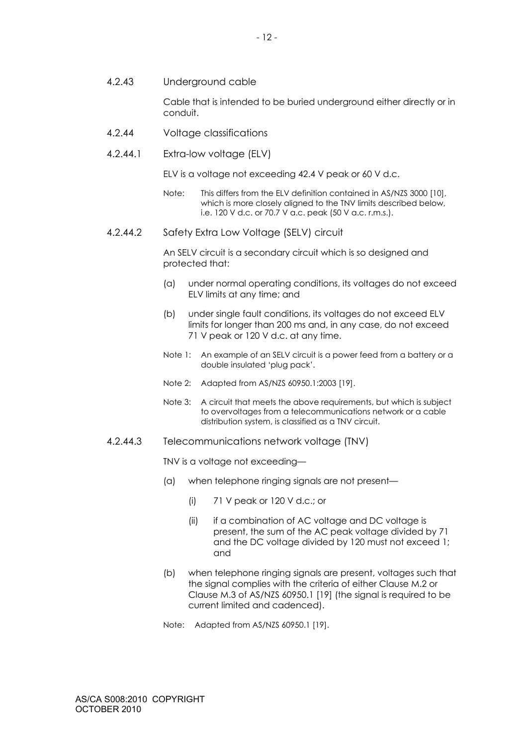4.2.43 Underground cable

Cable that is intended to be buried underground either directly or in conduit.

- 4.2.44 Voltage classifications
- 4.2.44.1 Extra-low voltage (ELV)

ELV is a voltage not exceeding 42.4 V peak or 60 V d.c.

- Note: This differs from the ELV definition contained in AS/NZS 3000 [10], which is more closely aligned to the TNV limits described below, i.e. 120 V d.c. or 70.7 V a.c. peak (50 V a.c. r.m.s.).
- 4.2.44.2 Safety Extra Low Voltage (SELV) circuit

An SELV circuit is a secondary circuit which is so designed and protected that:

- (a) under normal operating conditions, its voltages do not exceed ELV limits at any time; and
- (b) under single fault conditions, its voltages do not exceed ELV limits for longer than 200 ms and, in any case, do not exceed 71 V peak or 120 V d.c. at any time.
- Note 1: An example of an SELV circuit is a power feed from a battery or a double insulated 'plug pack'.
- Note 2: Adapted from AS/NZS 60950.1:2003 [19].
- Note 3: A circuit that meets the above requirements, but which is subject to overvoltages from a telecommunications network or a cable distribution system, is classified as a TNV circuit.
- 4.2.44.3 Telecommunications network voltage (TNV)

TNV is a voltage not exceeding—

- (a) when telephone ringing signals are not present—
	- (i) 71 V peak or 120 V d.c.; or
	- (ii) if a combination of AC voltage and DC voltage is present, the sum of the AC peak voltage divided by 71 and the DC voltage divided by 120 must not exceed 1; and
- (b) when telephone ringing signals are present, voltages such that the signal complies with the criteria of either Clause M.2 or Clause M.3 of AS/NZS 60950.1 [19] (the signal is required to be current limited and cadenced).
- Note: Adapted from AS/NZS 60950.1 [19].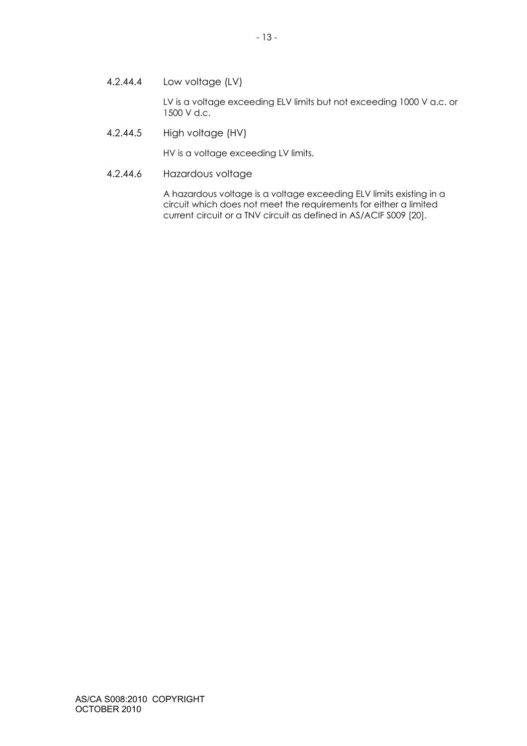4.2.44.4 Low voltage (LV)

LV is a voltage exceeding ELV limits but not exceeding 1000 V a.c. or 1500 V d.c.

4.2.44.5 High voltage (HV)

HV is a voltage exceeding LV limits.

4.2.44.6 Hazardous voltage

A hazardous voltage is a voltage exceeding ELV limits existing in a circuit which does not meet the requirements for either a limited current circuit or a TNV circuit as defined in AS/ACIF S009 [20].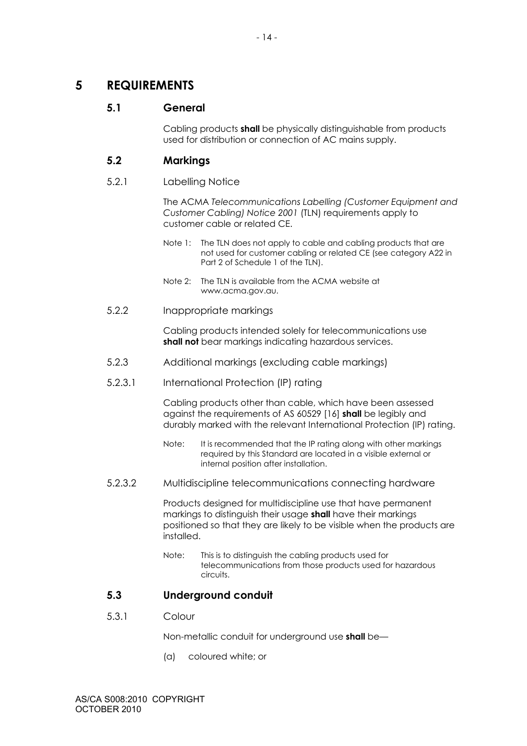# **5 REQUIREMENTS**

# **5.1 General**

Cabling products **shall** be physically distinguishable from products used for distribution or connection of AC mains supply.

# **5.2 Markings**

## 5.2.1 Labelling Notice

The ACMA *Telecommunications Labelling (Customer Equipment and Customer Cabling) Notice 2001* (TLN) requirements apply to customer cable or related CE.

- Note 1: The TLN does not apply to cable and cabling products that are not used for customer cabling or related CE (see category A22 in Part 2 of Schedule 1 of the TLN).
- Note 2: The TLN is available from the ACMA website at www.acma.gov.au.
- 5.2.2 Inappropriate markings

Cabling products intended solely for telecommunications use **shall not** bear markings indicating hazardous services.

- 5.2.3 Additional markings (excluding cable markings)
- 5.2.3.1 International Protection (IP) rating

Cabling products other than cable, which have been assessed against the requirements of AS 60529 [16] **shall** be legibly and durably marked with the relevant International Protection (IP) rating.

- Note: It is recommended that the IP rating along with other markings required by this Standard are located in a visible external or internal position after installation.
- 5.2.3.2 Multidiscipline telecommunications connecting hardware

Products designed for multidiscipline use that have permanent markings to distinguish their usage **shall** have their markings positioned so that they are likely to be visible when the products are installed.

Note: This is to distinguish the cabling products used for telecommunications from those products used for hazardous circuits.

# **5.3 Underground conduit**

5.3.1 Colour

Non-metallic conduit for underground use **shall** be—

(a) coloured white; or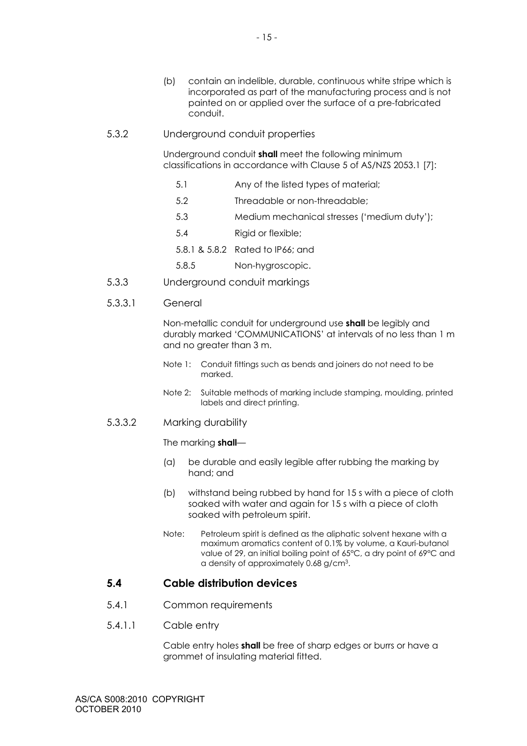5.3.2 Underground conduit properties

Underground conduit **shall** meet the following minimum classifications in accordance with Clause 5 of AS/NZS 2053.1 [7]:

- 5.1 Any of the listed types of material;
- 5.2 Threadable or non-threadable;
- 5.3 Medium mechanical stresses ('medium duty');
- 5.4 Rigid or flexible;
- 5.8.1 & 5.8.2 Rated to IP66; and
- 5.8.5 Non-hygroscopic.
- 5.3.3 Underground conduit markings

## 5.3.3.1 General

Non-metallic conduit for underground use **shall** be legibly and durably marked 'COMMUNICATIONS' at intervals of no less than 1 m and no greater than 3 m.

- Note 1: Conduit fittings such as bends and joiners do not need to be marked.
- Note 2: Suitable methods of marking include stamping, moulding, printed labels and direct printing.

# 5.3.3.2 Marking durability

#### The marking **shall**—

- (a) be durable and easily legible after rubbing the marking by hand; and
- (b) withstand being rubbed by hand for 15 s with a piece of cloth soaked with water and again for 15 s with a piece of cloth soaked with petroleum spirit.
- Note: Petroleum spirit is defined as the aliphatic solvent hexane with a maximum aromatics content of 0.1% by volume, a Kauri-butanol value of 29, an initial boiling point of 65°C, a dry point of 69°C and a density of approximately 0.68 g/cm3.

# **5.4 Cable distribution devices**

- 5.4.1 Common requirements
- 5.4.1.1 Cable entry

Cable entry holes **shall** be free of sharp edges or burrs or have a grommet of insulating material fitted.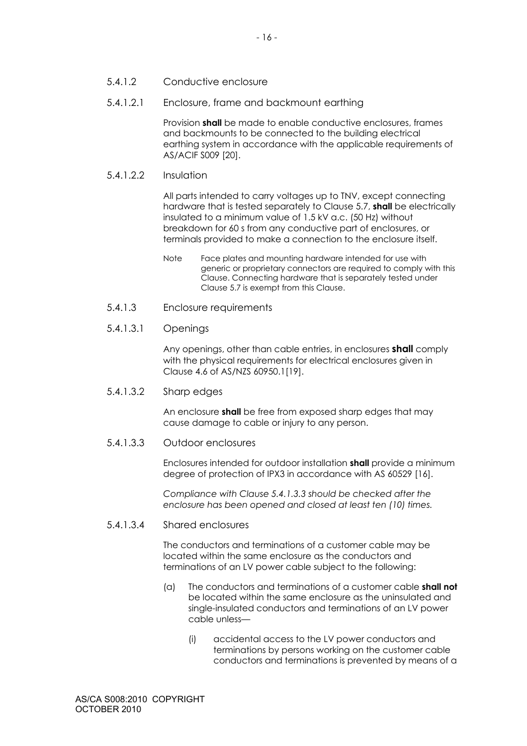- 5.4.1.2 Conductive enclosure
- 5.4.1.2.1 Enclosure, frame and backmount earthing

Provision **shall** be made to enable conductive enclosures, frames and backmounts to be connected to the building electrical earthing system in accordance with the applicable requirements of AS/ACIF S009 [20].

5.4.1.2.2 Insulation

All parts intended to carry voltages up to TNV, except connecting hardware that is tested separately to Clause 5.7, **shall** be electrically insulated to a minimum value of 1.5 kV a.c. (50 Hz) without breakdown for 60 s from any conductive part of enclosures, or terminals provided to make a connection to the enclosure itself.

- Note Face plates and mounting hardware intended for use with generic or proprietary connectors are required to comply with this Clause. Connecting hardware that is separately tested under Clause 5.7 is exempt from this Clause.
- 5.4.1.3 Enclosure requirements
- 5.4.1.3.1 Openings

Any openings, other than cable entries, in enclosures **shall** comply with the physical requirements for electrical enclosures given in Clause 4.6 of AS/NZS 60950.1[19].

5.4.1.3.2 Sharp edges

An enclosure **shall** be free from exposed sharp edges that may cause damage to cable or injury to any person.

5.4.1.3.3 Outdoor enclosures

Enclosures intended for outdoor installation **shall** provide a minimum degree of protection of IPX3 in accordance with AS 60529 [16].

*Compliance with Clause 5.4.1.3.3 should be checked after the enclosure has been opened and closed at least ten (10) times.* 

#### 5.4.1.3.4 Shared enclosures

The conductors and terminations of a customer cable may be located within the same enclosure as the conductors and terminations of an LV power cable subject to the following:

- (a) The conductors and terminations of a customer cable **shall not** be located within the same enclosure as the uninsulated and single-insulated conductors and terminations of an LV power cable unless—
	- (i) accidental access to the LV power conductors and terminations by persons working on the customer cable conductors and terminations is prevented by means of a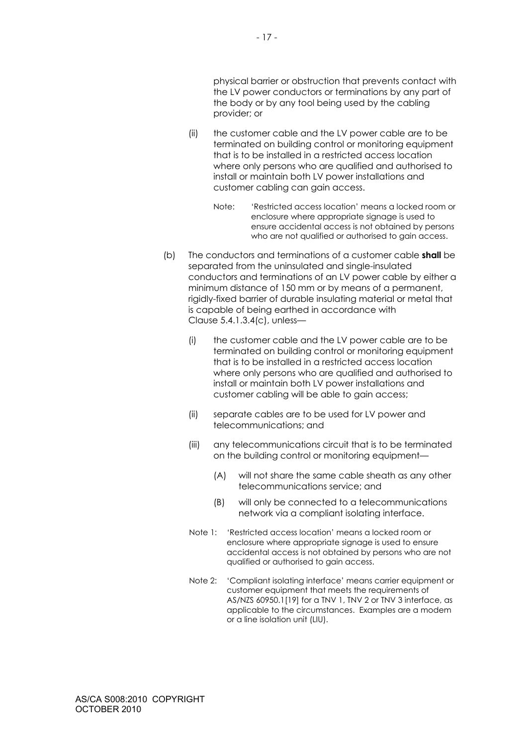physical barrier or obstruction that prevents contact with the LV power conductors or terminations by any part of the body or by any tool being used by the cabling provider; or

- (ii) the customer cable and the LV power cable are to be terminated on building control or monitoring equipment that is to be installed in a restricted access location where only persons who are qualified and authorised to install or maintain both LV power installations and customer cabling can gain access.
	- Note: 'Restricted access location' means a locked room or enclosure where appropriate signage is used to ensure accidental access is not obtained by persons who are not qualified or authorised to gain access.
- (b) The conductors and terminations of a customer cable **shall** be separated from the uninsulated and single-insulated conductors and terminations of an LV power cable by either a minimum distance of 150 mm or by means of a permanent, rigidly-fixed barrier of durable insulating material or metal that is capable of being earthed in accordance with Clause 5.4.1.3.4(c), unless—
	- (i) the customer cable and the LV power cable are to be terminated on building control or monitoring equipment that is to be installed in a restricted access location where only persons who are qualified and authorised to install or maintain both LV power installations and customer cabling will be able to gain access;
	- (ii) separate cables are to be used for LV power and telecommunications; and
	- (iii) any telecommunications circuit that is to be terminated on the building control or monitoring equipment—
		- (A) will not share the same cable sheath as any other telecommunications service; and
		- (B) will only be connected to a telecommunications network via a compliant isolating interface.
	- Note 1: 'Restricted access location' means a locked room or enclosure where appropriate signage is used to ensure accidental access is not obtained by persons who are not qualified or authorised to gain access.
	- Note 2: 'Compliant isolating interface' means carrier equipment or customer equipment that meets the requirements of AS/NZS 60950.1[19] for a TNV 1, TNV 2 or TNV 3 interface, as applicable to the circumstances. Examples are a modem or a line isolation unit (LIU).

AS/CA S008:2010 COPYRIGHT OCTOBER 2010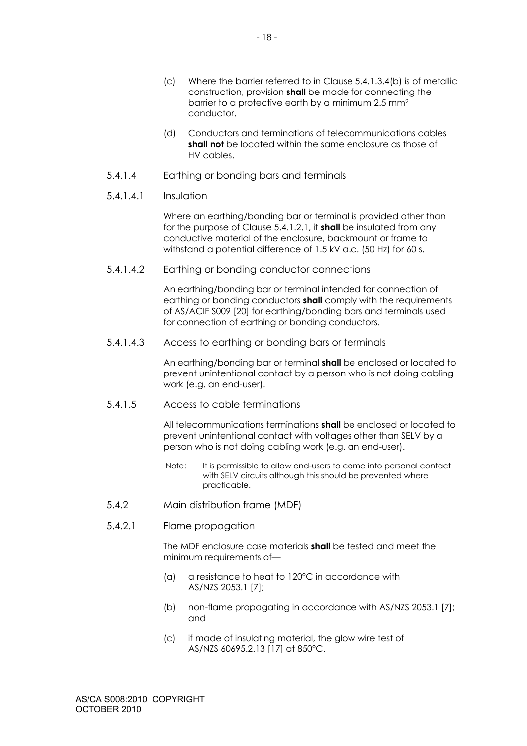- (d) Conductors and terminations of telecommunications cables **shall not** be located within the same enclosure as those of HV cables.
- 5.4.1.4 Earthing or bonding bars and terminals
- 5.4.1.4.1 Insulation

Where an earthing/bonding bar or terminal is provided other than for the purpose of Clause 5.4.1.2.1, it **shall** be insulated from any conductive material of the enclosure, backmount or frame to withstand a potential difference of 1.5 kV a.c. (50 Hz) for 60 s.

5.4.1.4.2 Earthing or bonding conductor connections

An earthing/bonding bar or terminal intended for connection of earthing or bonding conductors **shall** comply with the requirements of AS/ACIF S009 [20] for earthing/bonding bars and terminals used for connection of earthing or bonding conductors.

5.4.1.4.3 Access to earthing or bonding bars or terminals

An earthing/bonding bar or terminal **shall** be enclosed or located to prevent unintentional contact by a person who is not doing cabling work (e.g. an end-user).

5.4.1.5 Access to cable terminations

All telecommunications terminations **shall** be enclosed or located to prevent unintentional contact with voltages other than SELV by a person who is not doing cabling work (e.g. an end-user).

- Note: It is permissible to allow end-users to come into personal contact with SELV circuits although this should be prevented where practicable.
- 5.4.2 Main distribution frame (MDF)
- 5.4.2.1 Flame propagation

The MDF enclosure case materials **shall** be tested and meet the minimum requirements of—

- (a) a resistance to heat to 120°C in accordance with AS/NZS 2053.1 [7];
- (b) non-flame propagating in accordance with AS/NZS 2053.1 [7]; and
- (c) if made of insulating material, the glow wire test of AS/NZS 60695.2.13 [17] at 850°C.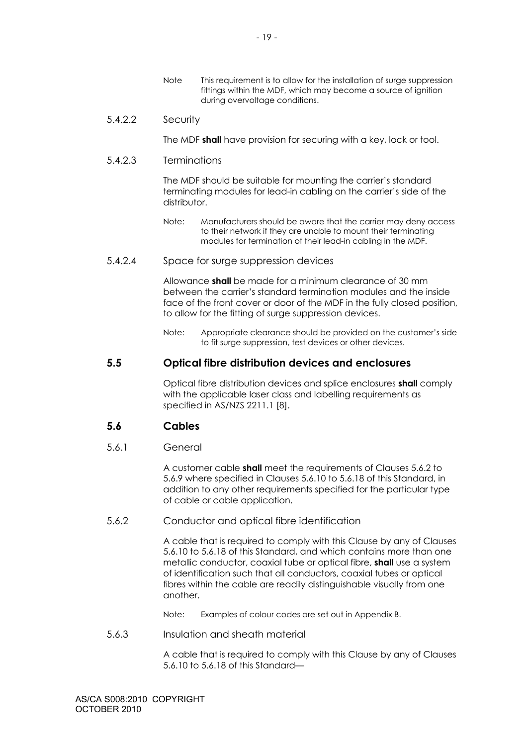Note This requirement is to allow for the installation of surge suppression fittings within the MDF, which may become a source of ignition during overvoltage conditions.

#### 5.4.2.2 Security

The MDF **shall** have provision for securing with a key, lock or tool.

#### 5.4.2.3 Terminations

The MDF should be suitable for mounting the carrier's standard terminating modules for lead-in cabling on the carrier's side of the distributor.

Note: Manufacturers should be aware that the carrier may deny access to their network if they are unable to mount their terminating modules for termination of their lead-in cabling in the MDF.

#### 5.4.2.4 Space for surge suppression devices

Allowance **shall** be made for a minimum clearance of 30 mm between the carrier's standard termination modules and the inside face of the front cover or door of the MDF in the fully closed position, to allow for the fitting of surge suppression devices.

Note: Appropriate clearance should be provided on the customer's side to fit surge suppression, test devices or other devices.

# **5.5 Optical fibre distribution devices and enclosures**

Optical fibre distribution devices and splice enclosures **shall** comply with the applicable laser class and labelling requirements as specified in AS/NZS 2211.1 [8].

# **5.6 Cables**

# 5.6.1 General

A customer cable **shall** meet the requirements of Clauses 5.6.2 to 5.6.9 where specified in Clauses 5.6.10 to 5.6.18 of this Standard, in addition to any other requirements specified for the particular type of cable or cable application.

# 5.6.2 Conductor and optical fibre identification

A cable that is required to comply with this Clause by any of Clauses 5.6.10 to 5.6.18 of this Standard, and which contains more than one metallic conductor, coaxial tube or optical fibre, **shall** use a system of identification such that all conductors, coaxial tubes or optical fibres within the cable are readily distinguishable visually from one another.

Note: Examples of colour codes are set out in Appendix B.

# 5.6.3 Insulation and sheath material

A cable that is required to comply with this Clause by any of Clauses 5.6.10 to 5.6.18 of this Standard—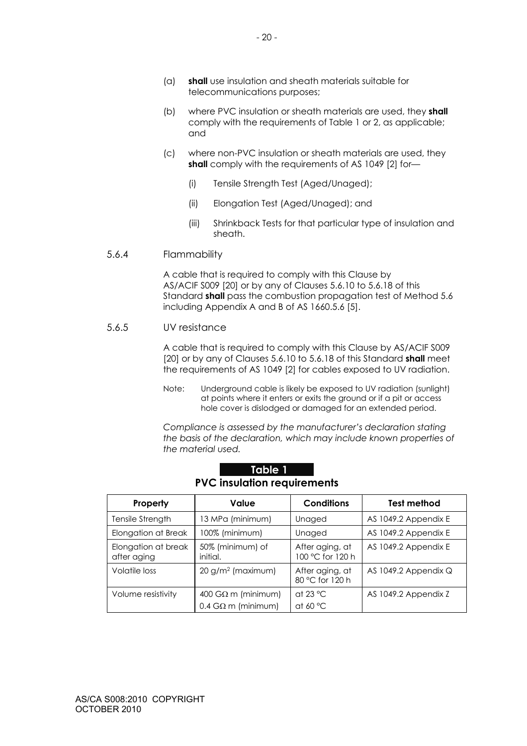- (a) **shall** use insulation and sheath materials suitable for telecommunications purposes;
- (b) where PVC insulation or sheath materials are used, they **shall** comply with the requirements of Table 1 or 2, as applicable; and
- (c) where non-PVC insulation or sheath materials are used, they **shall** comply with the requirements of AS 1049 [2] for-
	- (i) Tensile Strength Test (Aged/Unaged);
	- (ii) Elongation Test (Aged/Unaged); and
	- (iii) Shrinkback Tests for that particular type of insulation and sheath.

## 5.6.4 Flammability

A cable that is required to comply with this Clause by AS/ACIF S009 [20] or by any of Clauses 5.6.10 to 5.6.18 of this Standard **shall** pass the combustion propagation test of Method 5.6 including Appendix A and B of AS 1660.5.6 [5].

# 5.6.5 UV resistance

A cable that is required to comply with this Clause by AS/ACIF S009 [20] or by any of Clauses 5.6.10 to 5.6.18 of this Standard **shall** meet the requirements of AS 1049 [2] for cables exposed to UV radiation.

Note: Underground cable is likely be exposed to UV radiation (sunlight) at points where it enters or exits the ground or if a pit or access hole cover is dislodged or damaged for an extended period.

*Compliance is assessed by the manufacturer's declaration stating the basis of the declaration, which may include known properties of the material used.* 

| Property                           | Value                                                        | <b>Conditions</b>                       | <b>Test method</b>   |
|------------------------------------|--------------------------------------------------------------|-----------------------------------------|----------------------|
| Tensile Strength                   | 13 MPa (minimum)                                             | Unaged                                  | AS 1049.2 Appendix E |
| Elongation at Break                | 100% (minimum)                                               | Unaged                                  | AS 1049.2 Appendix E |
| Elongation at break<br>after aging | 50% (minimum) of<br>initial.                                 | After aging, at<br>100 °C for 120 h     | AS 1049.2 Appendix E |
| Volatile loss                      | $20 g/m2$ (maximum)                                          | After aging, at<br>80 °C for 120 h      | AS 1049.2 Appendix Q |
| Volume resistivity                 | $400$ G $\Omega$ m (minimum)<br>$0.4$ G $\Omega$ m (minimum) | at 23 $^{\circ}$ C<br>at 60 $\degree$ C | AS 1049.2 Appendix Z |

| Table 1'                           |
|------------------------------------|
| <b>PVC insulation requirements</b> |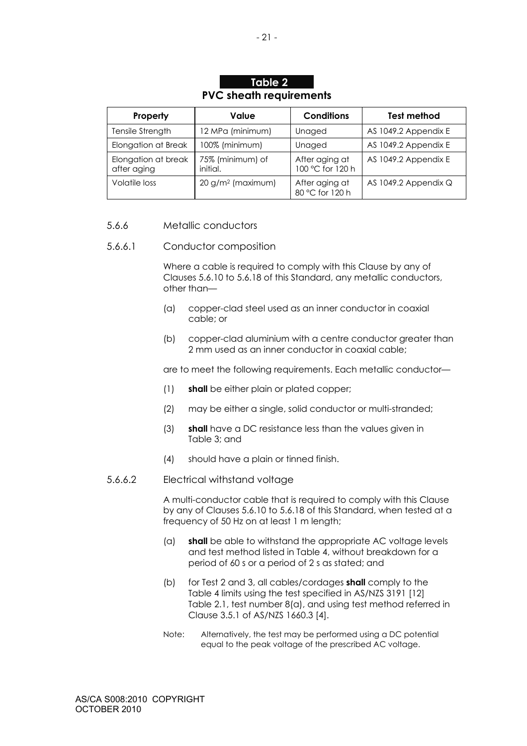# **Table 2 PVC sheath requirements**

| Property                           | Value                        | <b>Conditions</b>                  | Test method          |
|------------------------------------|------------------------------|------------------------------------|----------------------|
| Tensile Strength                   | 12 MPa (minimum)             | Unaged                             | AS 1049.2 Appendix E |
| Elongation at Break                | 100% (minimum)               | Unaged                             | AS 1049.2 Appendix E |
| Elongation at break<br>after aging | 75% (minimum) of<br>initial. | After aging at<br>100 °C for 120 h | AS 1049.2 Appendix E |
| Volatile loss                      | $20 g/m2$ (maximum)          | After aging at<br>80 °C for 120 h  | AS 1049.2 Appendix Q |

## 5.6.6 Metallic conductors

#### 5.6.6.1 Conductor composition

Where a cable is required to comply with this Clause by any of Clauses 5.6.10 to 5.6.18 of this Standard, any metallic conductors, other than—

- (a) copper-clad steel used as an inner conductor in coaxial cable; or
- (b) copper-clad aluminium with a centre conductor greater than 2 mm used as an inner conductor in coaxial cable;

are to meet the following requirements. Each metallic conductor—

- (1) **shall** be either plain or plated copper;
- (2) may be either a single, solid conductor or multi-stranded;
- (3) **shall** have a DC resistance less than the values given in Table 3; and
- (4) should have a plain or tinned finish.
- 5.6.6.2 Electrical withstand voltage

A multi-conductor cable that is required to comply with this Clause by any of Clauses 5.6.10 to 5.6.18 of this Standard, when tested at a frequency of 50 Hz on at least 1 m length;

- (a) **shall** be able to withstand the appropriate AC voltage levels and test method listed in Table 4, without breakdown for a period of 60 s or a period of 2 s as stated; and
- (b) for Test 2 and 3, all cables/cordages **shall** comply to the Table 4 limits using the test specified in AS/NZS 3191 [12] Table 2.1, test number 8(a), and using test method referred in Clause 3.5.1 of AS/NZS 1660.3 [4].
- Note: Alternatively, the test may be performed using a DC potential equal to the peak voltage of the prescribed AC voltage.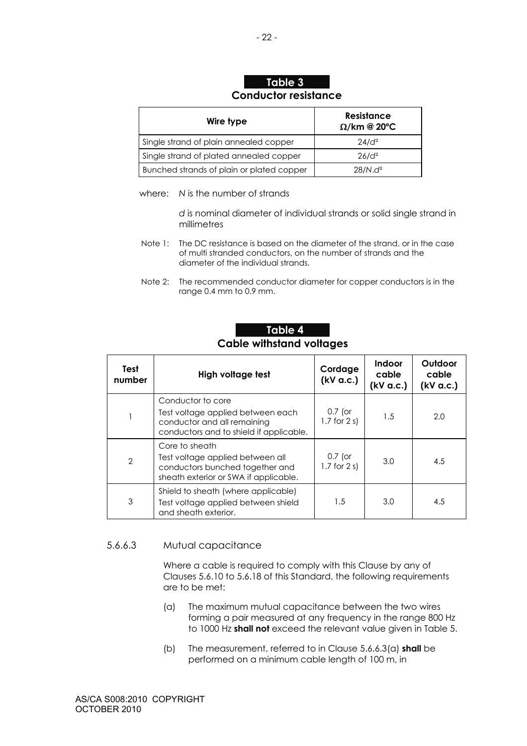# **Table 3 Conductor resistance**

| Wire type                                 | <b>Resistance</b><br>$\Omega$ /km @ 20°C |
|-------------------------------------------|------------------------------------------|
| Single strand of plain annealed copper    | $24/d^2$                                 |
| Single strand of plated annealed copper   | $26/d^2$                                 |
| Bunched strands of plain or plated copper | $28/N.d^2$                               |

where: *N* is the number of strands

 *d* is nominal diameter of individual strands or solid single strand in millimetres

- Note 1: The DC resistance is based on the diameter of the strand, or in the case of multi stranded conductors, on the number of strands and the diameter of the individual strands.
- Note 2: The recommended conductor diameter for copper conductors is in the range 0.4 mm to 0.9 mm.

# **Table 4 Cable withstand voltages**

| Test<br>number | High voltage test                                                                                                                | Cordage<br>(kV a.c.)           | <b>Indoor</b><br>cable<br>(kV a.c.) | Outdoor<br>cable<br>(kV a.c.) |
|----------------|----------------------------------------------------------------------------------------------------------------------------------|--------------------------------|-------------------------------------|-------------------------------|
|                | Conductor to core<br>Test voltage applied between each<br>conductor and all remaining<br>conductors and to shield if applicable. | $0.7$ (or<br>$1.7$ for $2 s$ ) | 1.5                                 | 2.0                           |
| $\overline{2}$ | Core to sheath<br>Test voltage applied between all<br>conductors bunched together and<br>sheath exterior or SWA if applicable.   | $0.7$ (or<br>$1.7$ for $2 s$ ) | 3.0                                 | 4.5                           |
| 3              | Shield to sheath (where applicable)<br>Test voltage applied between shield<br>and sheath exterior.                               | 1.5                            | 3.0                                 | 4.5                           |

# 5.6.6.3 Mutual capacitance

Where a cable is required to comply with this Clause by any of Clauses 5.6.10 to 5.6.18 of this Standard, the following requirements are to be met:

- (a) The maximum mutual capacitance between the two wires forming a pair measured at any frequency in the range 800 Hz to 1000 Hz **shall not** exceed the relevant value given in Table 5.
- (b) The measurement, referred to in Clause 5.6.6.3(a) **shall** be performed on a minimum cable length of 100 m, in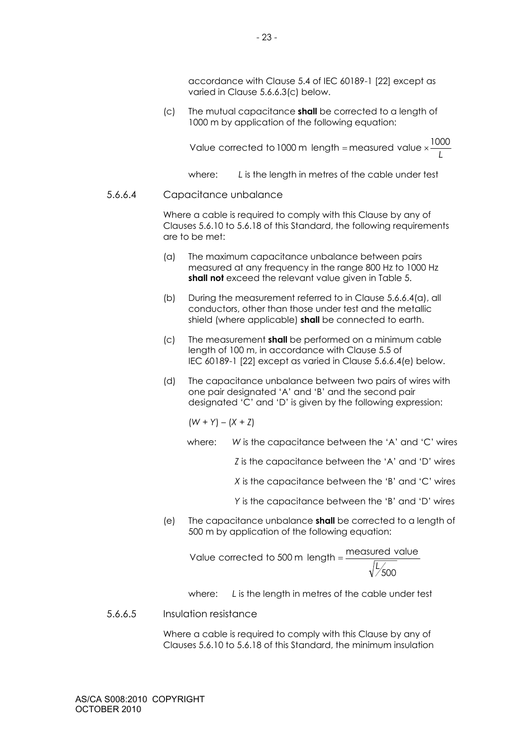accordance with Clause 5.4 of IEC 60189-1 [22] except as varied in Clause 5.6.6.3(c) below.

(c) The mutual capacitance **shall** be corrected to a length of 1000 m by application of the following equation:

*L* Value corrected to 1000 m length = measured value  $\times\frac{1000}{1000}$ 

where: *L* is the length in metres of the cable under test

## 5.6.6.4 Capacitance unbalance

Where a cable is required to comply with this Clause by any of Clauses 5.6.10 to 5.6.18 of this Standard, the following requirements are to be met:

- (a) The maximum capacitance unbalance between pairs measured at any frequency in the range 800 Hz to 1000 Hz **shall not** exceed the relevant value given in Table 5.
- (b) During the measurement referred to in Clause 5.6.6.4(a), all conductors, other than those under test and the metallic shield (where applicable) **shall** be connected to earth.
- (c) The measurement **shall** be performed on a minimum cable length of 100 m, in accordance with Clause 5.5 of IEC 60189-1 [22] except as varied in Clause 5.6.6.4(e) below.
- (d) The capacitance unbalance between two pairs of wires with one pair designated 'A' and 'B' and the second pair designated 'C' and 'D' is given by the following expression:

 $(W + Y) - (X + Z)$ 

where: *W* is the capacitance between the 'A' and 'C' wires

*Z* is the capacitance between the 'A' and 'D' wires

*X* is the capacitance between the 'B' and 'C' wires

*Y* is the capacitance between the 'B' and 'D' wires

(e) The capacitance unbalance **shall** be corrected to a length of 500 m by application of the following equation:

500 Value corrected to 500 m length =  $\frac{\text{measured value}}{\text{measured}}$ 

where: *L* is the length in metres of the cable under test

### 5.6.6.5 Insulation resistance

Where a cable is required to comply with this Clause by any of Clauses 5.6.10 to 5.6.18 of this Standard, the minimum insulation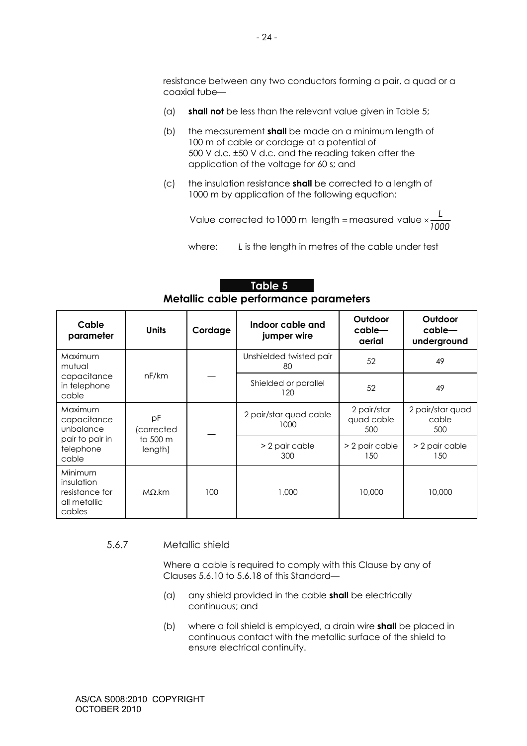resistance between any two conductors forming a pair, a quad or a coaxial tube—

- (a) **shall not** be less than the relevant value given in Table 5;
- (b) the measurement **shall** be made on a minimum length of 100 m of cable or cordage at a potential of 500 V d.c. ±50 V d.c. and the reading taken after the application of the voltage for 60 s; and
- (c) the insulation resistance **shall** be corrected to a length of 1000 m by application of the following equation:

*1000* Value corrected to 1000 m length = measured value  $\times \frac{L}{\sqrt{2}}$ 

where: *L* is the length in metres of the cable under test

# **Table 5 Metallic cable performance parameters**

| Cable<br>parameter                                                | <b>Units</b>                            | Cordage | Indoor cable and<br>jumper wire |                                  | Outdoor<br>cable<br>underground  |
|-------------------------------------------------------------------|-----------------------------------------|---------|---------------------------------|----------------------------------|----------------------------------|
| Maximum<br>mutual                                                 |                                         |         | Unshielded twisted pair<br>80   | 52                               | 49                               |
| capacitance<br>in telephone<br>cable                              | nF/km                                   |         | Shielded or parallel<br>120     | 52                               | 49                               |
| Maximum<br>capacitance<br>unbalance                               | pF<br>(corrected<br>to 500 m<br>length) |         | 2 pair/star quad cable<br>1000  | 2 pair/star<br>quad cable<br>500 | 2 pair/star quad<br>cable<br>500 |
| pair to pair in<br>telephone<br>cable                             |                                         |         |                                 | > 2 pair cable<br>300            | > 2 pair cable<br>150            |
| Minimum<br>insulation<br>resistance for<br>all metallic<br>cables | $M\Omega$ .km                           | 100     | 1,000                           | 10,000                           | 10,000                           |

#### 5.6.7 Metallic shield

Where a cable is required to comply with this Clause by any of Clauses 5.6.10 to 5.6.18 of this Standard—

- (a) any shield provided in the cable **shall** be electrically continuous; and
- (b) where a foil shield is employed, a drain wire **shall** be placed in continuous contact with the metallic surface of the shield to ensure electrical continuity.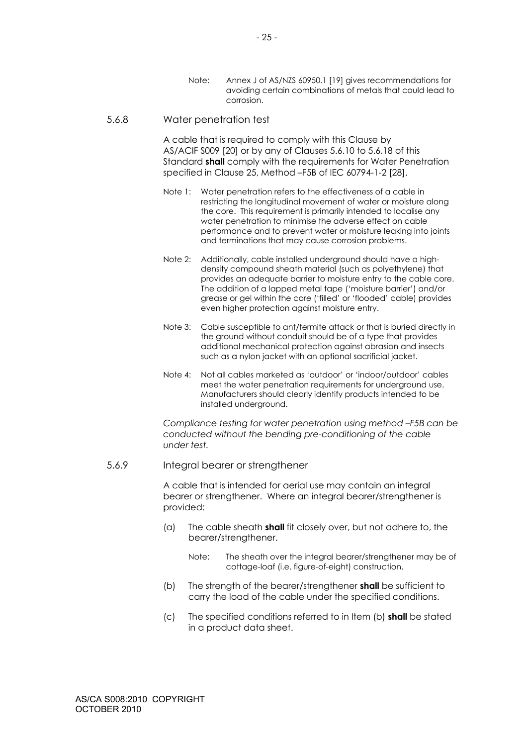Note: Annex J of AS/NZS 60950.1 [19] gives recommendations for avoiding certain combinations of metals that could lead to corrosion.

#### 5.6.8 Water penetration test

A cable that is required to comply with this Clause by AS/ACIF S009 [20] or by any of Clauses 5.6.10 to 5.6.18 of this Standard **shall** comply with the requirements for Water Penetration specified in Clause 25, Method –F5B of IEC 60794-1-2 [28].

- Note 1: Water penetration refers to the effectiveness of a cable in restricting the longitudinal movement of water or moisture along the core. This requirement is primarily intended to localise any water penetration to minimise the adverse effect on cable performance and to prevent water or moisture leaking into joints and terminations that may cause corrosion problems.
- Note 2: Additionally, cable installed underground should have a highdensity compound sheath material (such as polyethylene) that provides an adequate barrier to moisture entry to the cable core. The addition of a lapped metal tape ('moisture barrier') and/or grease or gel within the core ('filled' or 'flooded' cable) provides even higher protection against moisture entry.
- Note 3: Cable susceptible to ant/termite attack or that is buried directly in the ground without conduit should be of a type that provides additional mechanical protection against abrasion and insects such as a nylon jacket with an optional sacrificial jacket.
- Note 4: Not all cables marketed as 'outdoor' or 'indoor/outdoor' cables meet the water penetration requirements for underground use. Manufacturers should clearly identify products intended to be installed underground.

*Compliance testing for water penetration using method –F5B can be conducted without the bending pre-conditioning of the cable under test.* 

#### 5.6.9 Integral bearer or strengthener

A cable that is intended for aerial use may contain an integral bearer or strengthener. Where an integral bearer/strengthener is provided:

- (a) The cable sheath **shall** fit closely over, but not adhere to, the bearer/strengthener.
	- Note: The sheath over the integral bearer/strengthener may be of cottage-loaf (i.e. figure-of-eight) construction.
- (b) The strength of the bearer/strengthener **shall** be sufficient to carry the load of the cable under the specified conditions.
- (c) The specified conditions referred to in Item (b) **shall** be stated in a product data sheet.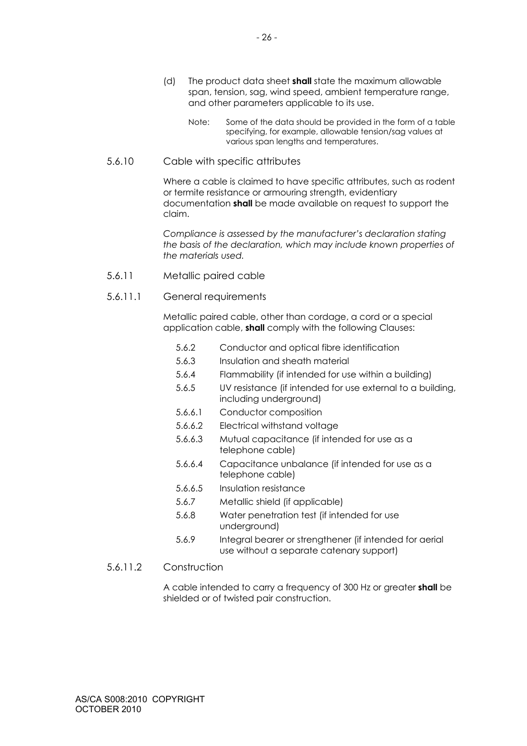- (d) The product data sheet **shall** state the maximum allowable span, tension, sag, wind speed, ambient temperature range, and other parameters applicable to its use.
	- Note: Some of the data should be provided in the form of a table specifying, for example, allowable tension/sag values at various span lengths and temperatures.

## 5.6.10 Cable with specific attributes

Where a cable is claimed to have specific attributes, such as rodent or termite resistance or armouring strength, evidentiary documentation **shall** be made available on request to support the claim.

*Compliance is assessed by the manufacturer's declaration stating the basis of the declaration, which may include known properties of the materials used.* 

- 5.6.11 Metallic paired cable
- 5.6.11.1 General requirements

Metallic paired cable, other than cordage, a cord or a special application cable, **shall** comply with the following Clauses:

- 5.6.2 Conductor and optical fibre identification
- 5.6.3 Insulation and sheath material
- 5.6.4 Flammability (if intended for use within a building)
- 5.6.5 UV resistance (if intended for use external to a building, including underground)
- 5.6.6.1 Conductor composition
- 5.6.6.2 Electrical withstand voltage
- 5.6.6.3 Mutual capacitance (if intended for use as a telephone cable)
- 5.6.6.4 Capacitance unbalance (if intended for use as a telephone cable)
- 5.6.6.5 Insulation resistance
- 5.6.7 Metallic shield (if applicable)
- 5.6.8 Water penetration test (if intended for use underground)
- 5.6.9 Integral bearer or strengthener (if intended for aerial use without a separate catenary support)

# 5.6.11.2 Construction

A cable intended to carry a frequency of 300 Hz or greater **shall** be shielded or of twisted pair construction.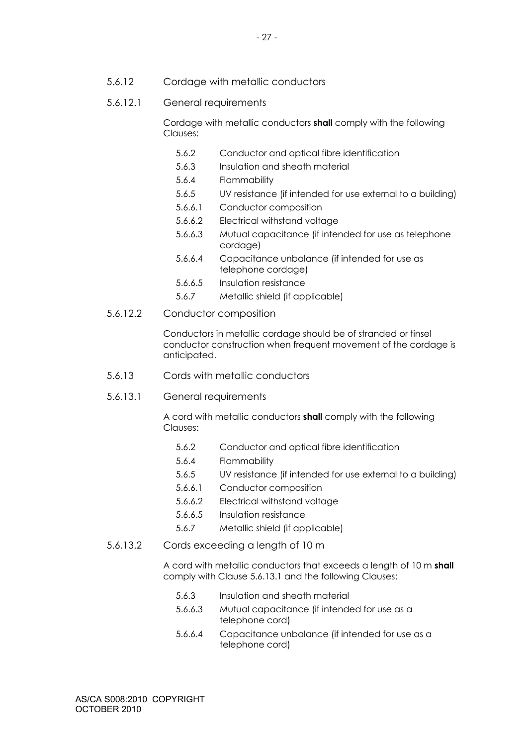5.6.12 Cordage with metallic conductors

## 5.6.12.1 General requirements

Cordage with metallic conductors **shall** comply with the following Clauses:

- 5.6.2 Conductor and optical fibre identification
- 5.6.3 Insulation and sheath material
- 5.6.4 Flammability
- 5.6.5 UV resistance (if intended for use external to a building)
- 5.6.6.1 Conductor composition
- 5.6.6.2 Electrical withstand voltage
- 5.6.6.3 Mutual capacitance (if intended for use as telephone cordage)
- 5.6.6.4 Capacitance unbalance (if intended for use as telephone cordage)
- 5.6.6.5 Insulation resistance
- 5.6.7 Metallic shield (if applicable)
- 5.6.12.2 Conductor composition

Conductors in metallic cordage should be of stranded or tinsel conductor construction when frequent movement of the cordage is anticipated.

- 5.6.13 Cords with metallic conductors
- 5.6.13.1 General requirements

A cord with metallic conductors **shall** comply with the following Clauses:

- 5.6.2 Conductor and optical fibre identification
- 5.6.4 Flammability
- 5.6.5 UV resistance (if intended for use external to a building)
- 5.6.6.1 Conductor composition
- 5.6.6.2 Electrical withstand voltage
- 5.6.6.5 Insulation resistance
- 5.6.7 Metallic shield (if applicable)
- 5.6.13.2 Cords exceeding a length of 10 m

A cord with metallic conductors that exceeds a length of 10 m **shall** comply with Clause 5.6.13.1 and the following Clauses:

- 5.6.3 Insulation and sheath material
- 5.6.6.3 Mutual capacitance (if intended for use as a telephone cord)
- 5.6.6.4 Capacitance unbalance (if intended for use as a telephone cord)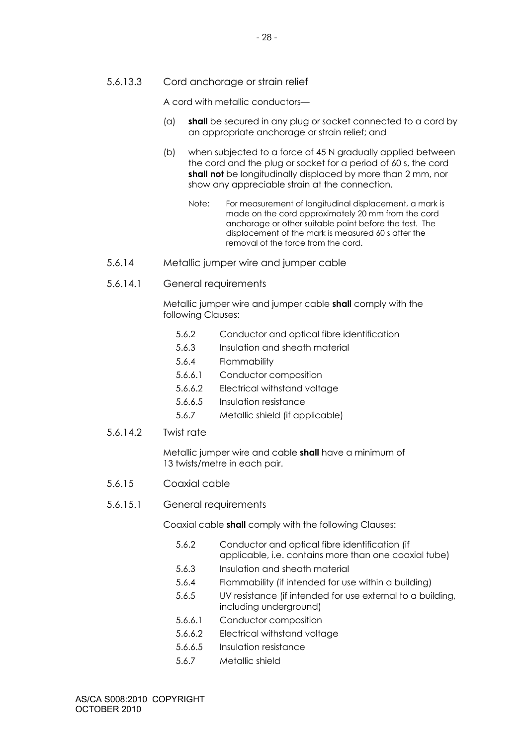5.6.13.3 Cord anchorage or strain relief

A cord with metallic conductors—

- (a) **shall** be secured in any plug or socket connected to a cord by an appropriate anchorage or strain relief; and
- (b) when subjected to a force of 45 N gradually applied between the cord and the plug or socket for a period of 60 s, the cord **shall not** be longitudinally displaced by more than 2 mm, nor show any appreciable strain at the connection.
	- Note: For measurement of longitudinal displacement, a mark is made on the cord approximately 20 mm from the cord anchorage or other suitable point before the test. The displacement of the mark is measured 60 s after the removal of the force from the cord.
- 5.6.14 Metallic jumper wire and jumper cable
- 5.6.14.1 General requirements

Metallic jumper wire and jumper cable **shall** comply with the following Clauses:

- 5.6.2 Conductor and optical fibre identification
- 5.6.3 Insulation and sheath material
- 5.6.4 Flammability
- 5.6.6.1 Conductor composition
- 5.6.6.2 Electrical withstand voltage
- 5.6.6.5 Insulation resistance
- 5.6.7 Metallic shield (if applicable)
- 5.6.14.2 Twist rate

Metallic jumper wire and cable **shall** have a minimum of 13 twists/metre in each pair.

- 5.6.15 Coaxial cable
- 5.6.15.1 General requirements

Coaxial cable **shall** comply with the following Clauses:

- 5.6.2 Conductor and optical fibre identification (if applicable, i.e. contains more than one coaxial tube)
- 5.6.3 Insulation and sheath material
- 5.6.4 Flammability (if intended for use within a building)
- 5.6.5 UV resistance (if intended for use external to a building, including underground)
- 5.6.6.1 Conductor composition
- 5.6.6.2 Electrical withstand voltage
- 5.6.6.5 Insulation resistance
- 5.6.7 Metallic shield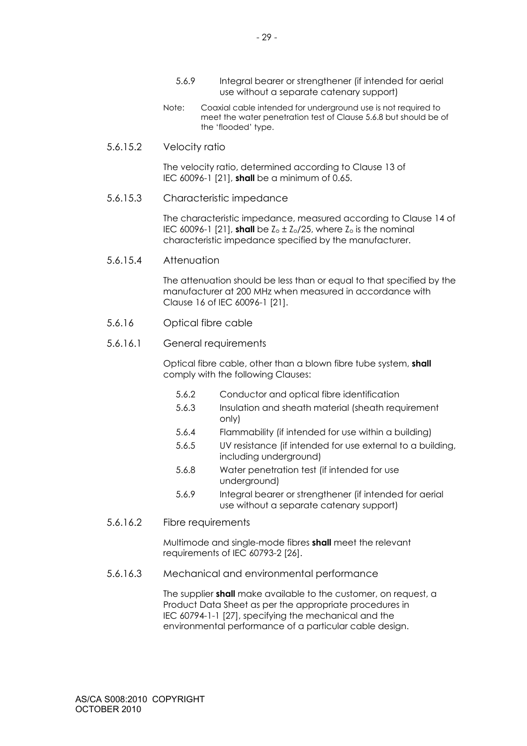Note: Coaxial cable intended for underground use is not required to meet the water penetration test of Clause 5.6.8 but should be of the 'flooded' type.

## 5.6.15.2 Velocity ratio

The velocity ratio, determined according to Clause 13 of IEC 60096-1 [21], **shall** be a minimum of 0.65.

## 5.6.15.3 Characteristic impedance

The characteristic impedance, measured according to Clause 14 of IEC 60096-1 [21], **shall** be  $Z_0 \pm Z_0/25$ , where  $Z_0$  is the nominal characteristic impedance specified by the manufacturer.

## 5.6.15.4 Attenuation

The attenuation should be less than or equal to that specified by the manufacturer at 200 MHz when measured in accordance with Clause 16 of IEC 60096-1 [21].

## 5.6.16 Optical fibre cable

## 5.6.16.1 General requirements

Optical fibre cable, other than a blown fibre tube system, **shall** comply with the following Clauses:

- 5.6.2 Conductor and optical fibre identification
- 5.6.3 Insulation and sheath material (sheath requirement only)
- 5.6.4 Flammability (if intended for use within a building)
- 5.6.5 UV resistance (if intended for use external to a building, including underground)
- 5.6.8 Water penetration test (if intended for use underground)
- 5.6.9 Integral bearer or strengthener (if intended for aerial use without a separate catenary support)
- 5.6.16.2 Fibre requirements

Multimode and single-mode fibres **shall** meet the relevant requirements of IEC 60793-2 [26].

#### 5.6.16.3 Mechanical and environmental performance

The supplier **shall** make available to the customer, on request, a Product Data Sheet as per the appropriate procedures in IEC 60794-1-1 [27], specifying the mechanical and the environmental performance of a particular cable design.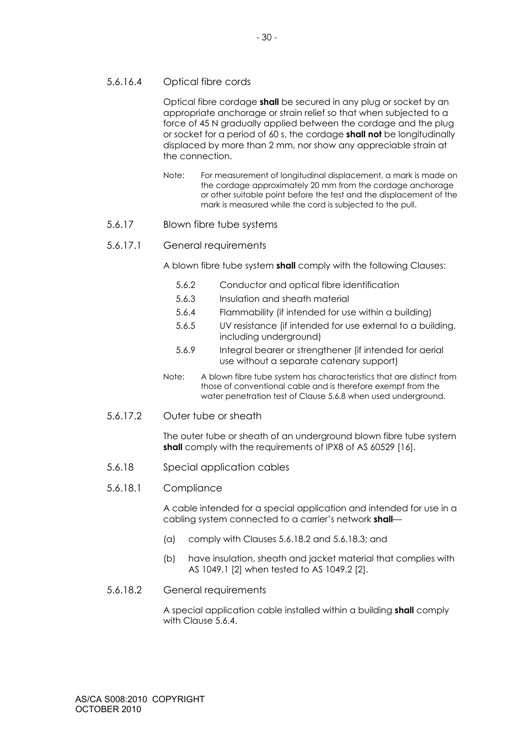## 5.6.16.4 Optical fibre cords

Optical fibre cordage **shall** be secured in any plug or socket by an appropriate anchorage or strain relief so that when subjected to a force of 45 N gradually applied between the cordage and the plug or socket for a period of 60 s, the cordage **shall not** be longitudinally displaced by more than 2 mm, nor show any appreciable strain at the connection.

Note: For measurement of longitudinal displacement, a mark is made on the cordage approximately 20 mm from the cordage anchorage or other suitable point before the test and the displacement of the mark is measured while the cord is subjected to the pull.

## 5.6.17 Blown fibre tube systems

## 5.6.17.1 General requirements

A blown fibre tube system **shall** comply with the following Clauses:

- 5.6.2 Conductor and optical fibre identification
- 5.6.3 Insulation and sheath material
- 5.6.4 Flammability (if intended for use within a building)
- 5.6.5 UV resistance (if intended for use external to a building, including underground)
- 5.6.9 Integral bearer or strengthener (if intended for aerial use without a separate catenary support)
- Note: A blown fibre tube system has characteristics that are distinct from those of conventional cable and is therefore exempt from the water penetration test of Clause 5.6.8 when used underground.
- 5.6.17.2 Outer tube or sheath

The outer tube or sheath of an underground blown fibre tube system **shall** comply with the requirements of IPX8 of AS 60529 [16].

- 5.6.18 Special application cables
- 5.6.18.1 Compliance

A cable intended for a special application and intended for use in a cabling system connected to a carrier's network **shall**—

- (a) comply with Clauses 5.6.18.2 and 5.6.18.3; and
- (b) have insulation, sheath and jacket material that complies with AS 1049.1 [2] when tested to AS 1049.2 [2].

#### 5.6.18.2 General requirements

A special application cable installed within a building **shall** comply with Clause 5.6.4.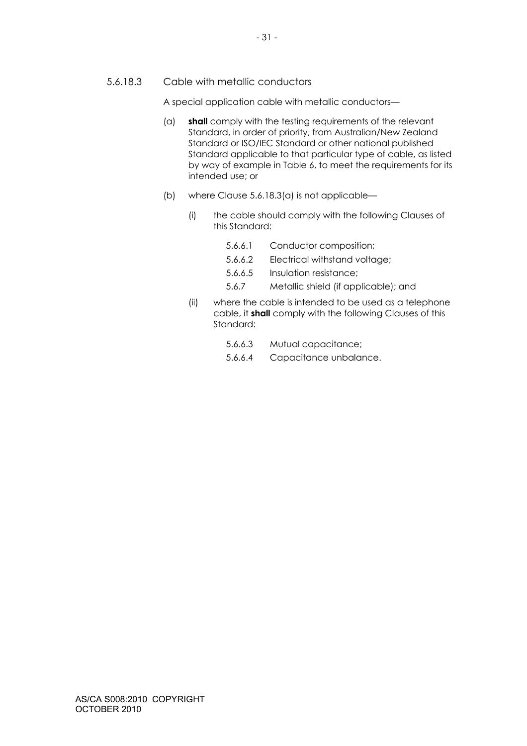## 5.6.18.3 Cable with metallic conductors

A special application cable with metallic conductors—

- (a) **shall** comply with the testing requirements of the relevant Standard, in order of priority, from Australian/New Zealand Standard or ISO/IEC Standard or other national published Standard applicable to that particular type of cable, as listed by way of example in Table 6, to meet the requirements for its intended use; or
- (b) where Clause 5.6.18.3(a) is not applicable—
	- (i) the cable should comply with the following Clauses of this Standard:
		- 5.6.6.1 Conductor composition;
		- 5.6.6.2 Electrical withstand voltage;
		- 5.6.6.5 Insulation resistance;
		- 5.6.7 Metallic shield (if applicable); and
	- (ii) where the cable is intended to be used as a telephone cable, it **shall** comply with the following Clauses of this Standard:
		- 5.6.6.3 Mutual capacitance;
		- 5.6.6.4 Capacitance unbalance.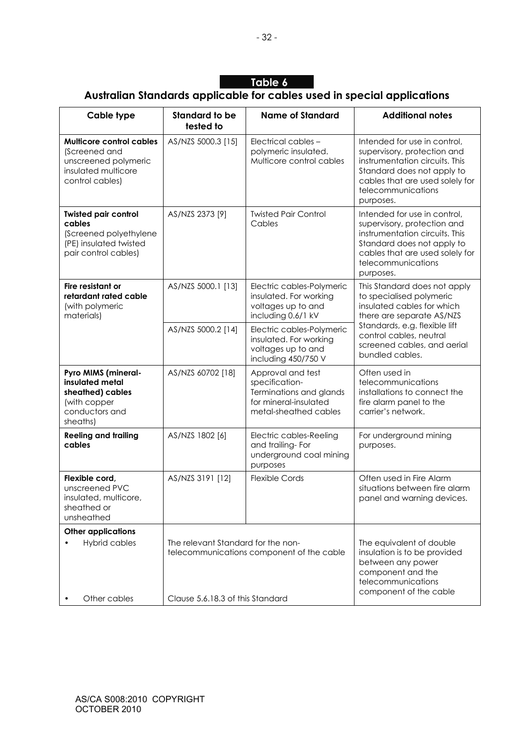# **Table 6**

# **Australian Standards applicable for cables used in special applications**

| Cable type                                                                                                         | <b>Standard to be</b><br>tested to | <b>Name of Standard</b>                                                                                          | <b>Additional notes</b>                                                                                                                                                                           |
|--------------------------------------------------------------------------------------------------------------------|------------------------------------|------------------------------------------------------------------------------------------------------------------|---------------------------------------------------------------------------------------------------------------------------------------------------------------------------------------------------|
| <b>Multicore control cables</b><br>(Screened and<br>unscreened polymeric<br>insulated multicore<br>control cables) | AS/NZS 5000.3 [15]                 | Electrical cables -<br>polymeric insulated.<br>Multicore control cables                                          | Intended for use in control,<br>supervisory, protection and<br>instrumentation circuits. This<br>Standard does not apply to<br>cables that are used solely for<br>telecommunications<br>purposes. |
| <b>Twisted pair control</b><br>cables<br>(Screened polyethylene<br>(PE) insulated twisted<br>pair control cables)  | AS/NZS 2373 [9]                    | <b>Twisted Pair Control</b><br>Cables                                                                            | Intended for use in control,<br>supervisory, protection and<br>instrumentation circuits. This<br>Standard does not apply to<br>cables that are used solely for<br>telecommunications<br>purposes. |
| Fire resistant or<br>retardant rated cable<br>(with polymeric<br>materials)                                        | AS/NZS 5000.1 [13]                 | Electric cables-Polymeric<br>insulated. For working<br>voltages up to and<br>including 0.6/1 kV                  | This Standard does not apply<br>to specialised polymeric<br>insulated cables for which<br>there are separate AS/NZS                                                                               |
|                                                                                                                    | AS/NZS 5000.2 [14]                 | Electric cables-Polymeric<br>insulated. For working<br>voltages up to and<br>including 450/750 V                 | Standards, e.g. flexible lift<br>control cables, neutral<br>screened cables, and aerial<br>bundled cables.                                                                                        |
| Pyro MIMS (mineral-<br>insulated metal<br>sheathed) cables<br>(with copper<br>conductors and<br>sheaths)           | AS/NZS 60702 [18]                  | Approval and test<br>specification-<br>Terminations and glands<br>for mineral-insulated<br>metal-sheathed cables | Often used in<br>telecommunications<br>installations to connect the<br>fire alarm panel to the<br>carrier's network.                                                                              |
| <b>Reeling and trailing</b><br>cables                                                                              | AS/NZS 1802 [6]                    | Electric cables-Reeling<br>and trailing-For<br>underground coal mining<br>purposes                               | For underground mining<br>purposes.                                                                                                                                                               |
| Flexible cord,<br>unscreened PVC<br>insulated, multicore,<br>sheathed or<br>unsheathed                             | AS/NZS 3191 [12]                   | <b>Flexible Cords</b>                                                                                            | Often used in Fire Alarm<br>situations between fire alarm<br>panel and warning devices.                                                                                                           |
| <b>Other applications</b>                                                                                          |                                    |                                                                                                                  |                                                                                                                                                                                                   |
| Hybrid cables                                                                                                      | The relevant Standard for the non- | telecommunications component of the cable                                                                        | The equivalent of double<br>insulation is to be provided<br>between any power<br>component and the<br>telecommunications<br>component of the cable                                                |
| Other cables                                                                                                       | Clause 5.6.18.3 of this Standard   |                                                                                                                  |                                                                                                                                                                                                   |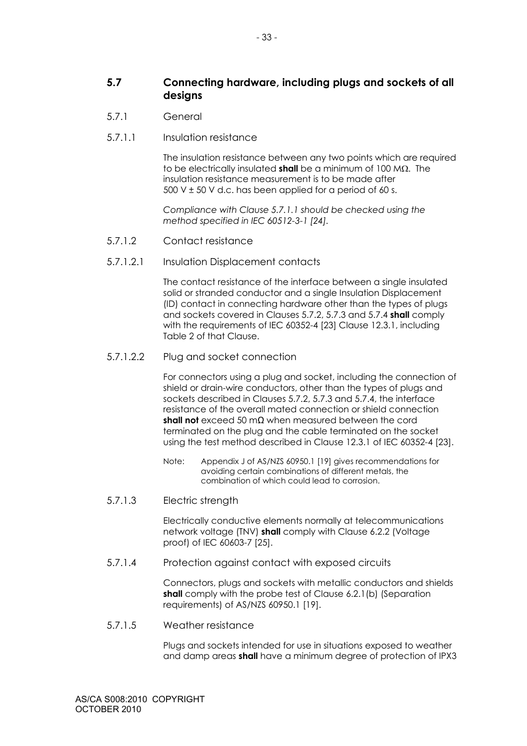- 5.7.1 General
- 5.7.1.1 Insulation resistance

The insulation resistance between any two points which are required to be electrically insulated **shall** be a minimum of 100 MΩ. The insulation resistance measurement is to be made after 500 V  $\pm$  50 V d.c. has been applied for a period of 60 s.

*Compliance with Clause 5.7.1.1 should be checked using the method specified in IEC 60512-3-1 [24].* 

- 5.7.1.2 Contact resistance
- 5.7.1.2.1 Insulation Displacement contacts

The contact resistance of the interface between a single insulated solid or stranded conductor and a single Insulation Displacement (ID) contact in connecting hardware other than the types of plugs and sockets covered in Clauses 5.7.2, 5.7.3 and 5.7.4 **shall** comply with the requirements of IEC 60352-4 [23] Clause 12.3.1, including Table 2 of that Clause.

5.7.1.2.2 Plug and socket connection

For connectors using a plug and socket, including the connection of shield or drain-wire conductors, other than the types of plugs and sockets described in Clauses 5.7.2, 5.7.3 and 5.7.4, the interface resistance of the overall mated connection or shield connection **shall not** exceed 50 mΩ when measured between the cord terminated on the plug and the cable terminated on the socket using the test method described in Clause 12.3.1 of IEC 60352-4 [23].

- Note: Appendix J of AS/NZS 60950.1 [19] gives recommendations for avoiding certain combinations of different metals, the combination of which could lead to corrosion.
- 5.7.1.3 Electric strength

Electrically conductive elements normally at telecommunications network voltage (TNV) **shall** comply with Clause 6.2.2 (Voltage proof) of IEC 60603-7 [25].

5.7.1.4 Protection against contact with exposed circuits

Connectors, plugs and sockets with metallic conductors and shields **shall** comply with the probe test of Clause 6.2.1(b) (Separation requirements) of AS/NZS 60950.1 [19].

5.7.1.5 Weather resistance

Plugs and sockets intended for use in situations exposed to weather and damp areas **shall** have a minimum degree of protection of IPX3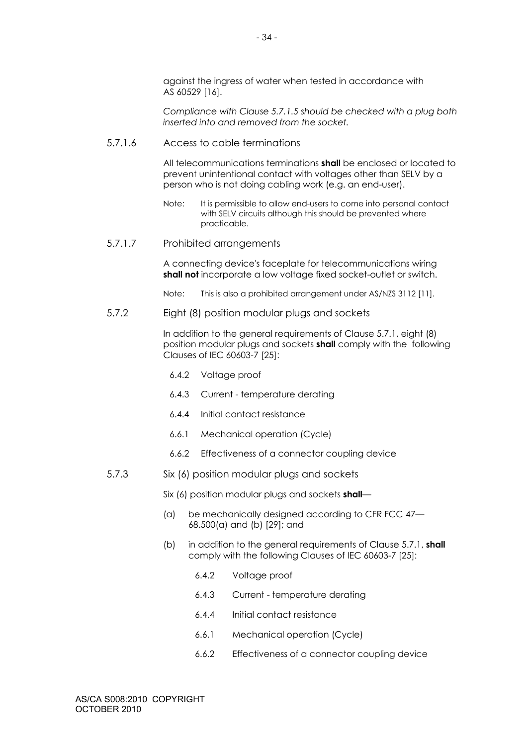against the ingress of water when tested in accordance with AS 60529 [16].

*Compliance with Clause 5.7.1.5 should be checked with a plug both inserted into and removed from the socket.* 

5.7.1.6 Access to cable terminations

All telecommunications terminations **shall** be enclosed or located to prevent unintentional contact with voltages other than SELV by a person who is not doing cabling work (e.g. an end-user).

- Note: It is permissible to allow end-users to come into personal contact with SELV circuits although this should be prevented where practicable.
- 5.7.1.7 Prohibited arrangements

A connecting device's faceplate for telecommunications wiring **shall not** incorporate a low voltage fixed socket-outlet or switch.

- Note: This is also a prohibited arrangement under AS/NZS 3112 [11].
- 5.7.2 Eight (8) position modular plugs and sockets

In addition to the general requirements of Clause 5.7.1, eight (8) position modular plugs and sockets **shall** comply with the following Clauses of IEC 60603-7 [25]:

- 6.4.2 Voltage proof
- 6.4.3 Current temperature derating
- 6.4.4 Initial contact resistance
- 6.6.1 Mechanical operation (Cycle)
- 6.6.2 Effectiveness of a connector coupling device
- 5.7.3 Six (6) position modular plugs and sockets

Six (6) position modular plugs and sockets **shall**—

- (a) be mechanically designed according to CFR FCC 47— 68.500(a) and (b) [29]; and
- (b) in addition to the general requirements of Clause 5.7.1, **shall** comply with the following Clauses of IEC 60603-7 [25]:
	- 6.4.2 Voltage proof
	- 6.4.3 Current temperature derating
	- 6.4.4 Initial contact resistance
	- 6.6.1 Mechanical operation (Cycle)
	- 6.6.2 Effectiveness of a connector coupling device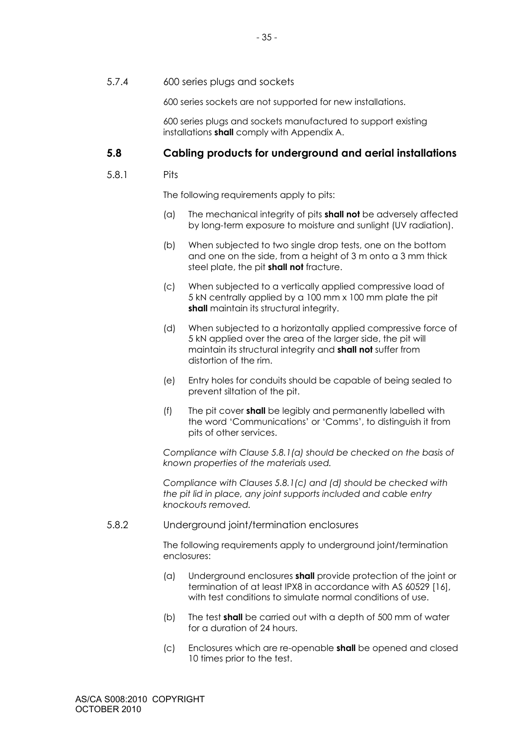5.7.4 600 series plugs and sockets

600 series sockets are not supported for new installations.

600 series plugs and sockets manufactured to support existing installations **shall** comply with Appendix A.

# **5.8 Cabling products for underground and aerial installations**

#### 5.8.1 Pits

The following requirements apply to pits:

- (a) The mechanical integrity of pits **shall not** be adversely affected by long-term exposure to moisture and sunlight (UV radiation).
- (b) When subjected to two single drop tests, one on the bottom and one on the side, from a height of 3 m onto a 3 mm thick steel plate, the pit **shall not** fracture.
- (c) When subjected to a vertically applied compressive load of 5 kN centrally applied by a 100 mm x 100 mm plate the pit shall maintain its structural integrity.
- (d) When subjected to a horizontally applied compressive force of 5 kN applied over the area of the larger side, the pit will maintain its structural integrity and **shall not** suffer from distortion of the rim.
- (e) Entry holes for conduits should be capable of being sealed to prevent siltation of the pit.
- (f) The pit cover **shall** be legibly and permanently labelled with the word 'Communications' or 'Comms', to distinguish it from pits of other services.

*Compliance with Clause 5.8.1(a) should be checked on the basis of known properties of the materials used.* 

*Compliance with Clauses 5.8.1(c) and (d) should be checked with the pit lid in place, any joint supports included and cable entry knockouts removed.* 

5.8.2 Underground joint/termination enclosures

The following requirements apply to underground joint/termination enclosures:

- (a) Underground enclosures **shall** provide protection of the joint or termination of at least IPX8 in accordance with AS 60529 [16], with test conditions to simulate normal conditions of use.
- (b) The test **shall** be carried out with a depth of 500 mm of water for a duration of 24 hours.
- (c) Enclosures which are re-openable **shall** be opened and closed 10 times prior to the test.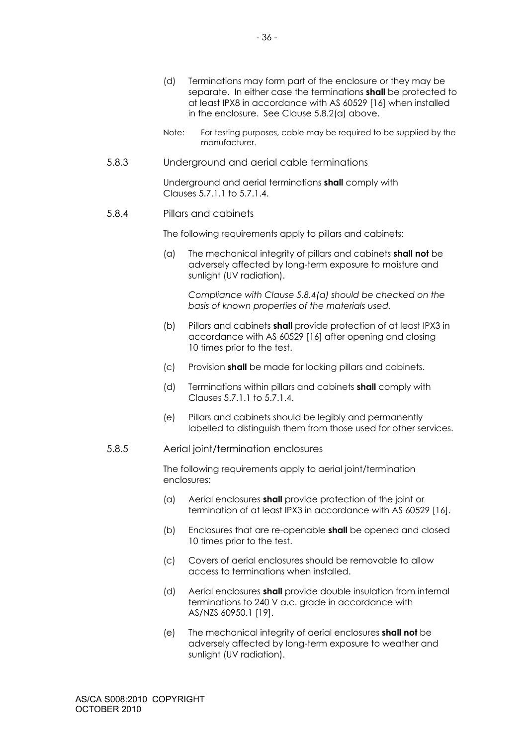- Note: For testing purposes, cable may be required to be supplied by the manufacturer.
- 5.8.3 Underground and aerial cable terminations

Underground and aerial terminations **shall** comply with Clauses 5.7.1.1 to 5.7.1.4.

#### 5.8.4 Pillars and cabinets

The following requirements apply to pillars and cabinets:

(a) The mechanical integrity of pillars and cabinets **shall not** be adversely affected by long-term exposure to moisture and sunlight (UV radiation).

*Compliance with Clause 5.8.4(a) should be checked on the basis of known properties of the materials used.* 

- (b) Pillars and cabinets **shall** provide protection of at least IPX3 in accordance with AS 60529 [16] after opening and closing 10 times prior to the test.
- (c) Provision **shall** be made for locking pillars and cabinets.
- (d) Terminations within pillars and cabinets **shall** comply with Clauses 5.7.1.1 to 5.7.1.4.
- (e) Pillars and cabinets should be legibly and permanently labelled to distinguish them from those used for other services.

#### 5.8.5 Aerial joint/termination enclosures

The following requirements apply to aerial joint/termination enclosures:

- (a) Aerial enclosures **shall** provide protection of the joint or termination of at least IPX3 in accordance with AS 60529 [16].
- (b) Enclosures that are re-openable **shall** be opened and closed 10 times prior to the test.
- (c) Covers of aerial enclosures should be removable to allow access to terminations when installed.
- (d) Aerial enclosures **shall** provide double insulation from internal terminations to 240 V a.c. grade in accordance with AS/NZS 60950.1 [19].
- (e) The mechanical integrity of aerial enclosures **shall not** be adversely affected by long-term exposure to weather and sunlight (UV radiation).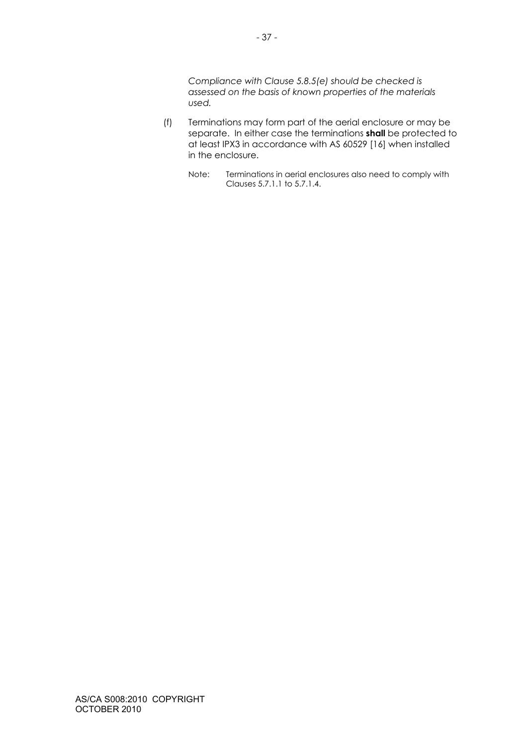*Compliance with Clause 5.8.5(e) should be checked is assessed on the basis of known properties of the materials used.* 

- (f) Terminations may form part of the aerial enclosure or may be separate. In either case the terminations **shall** be protected to at least IPX3 in accordance with AS 60529 [16] when installed in the enclosure.
	- Note: Terminations in aerial enclosures also need to comply with Clauses 5.7.1.1 to 5.7.1.4.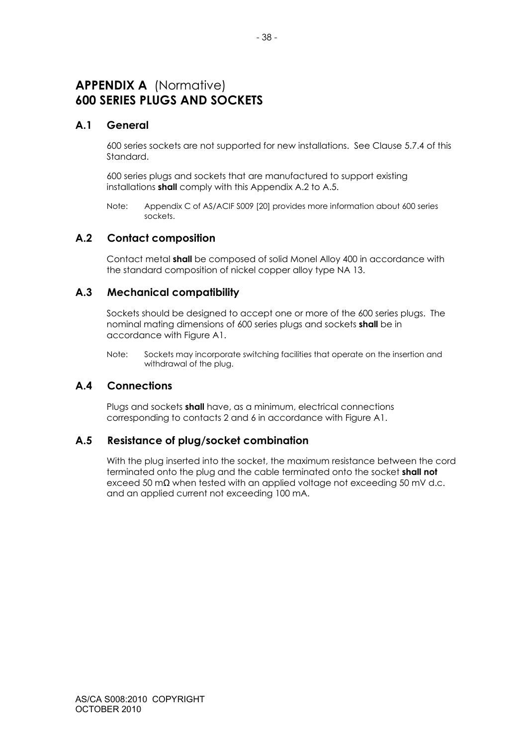# **APPENDIX A** (Normative) **600 SERIES PLUGS AND SOCKETS**

# **A.1 General**

600 series sockets are not supported for new installations. See Clause 5.7.4 of this Standard.

600 series plugs and sockets that are manufactured to support existing installations **shall** comply with this Appendix A.2 to A.5.

Note: Appendix C of AS/ACIF S009 [20] provides more information about 600 series sockets.

# **A.2 Contact composition**

Contact metal **shall** be composed of solid Monel Alloy 400 in accordance with the standard composition of nickel copper alloy type NA 13.

# **A.3 Mechanical compatibility**

Sockets should be designed to accept one or more of the 600 series plugs. The nominal mating dimensions of 600 series plugs and sockets **shall** be in accordance with Figure A1.

Note: Sockets may incorporate switching facilities that operate on the insertion and withdrawal of the plug.

# **A.4 Connections**

Plugs and sockets **shall** have, as a minimum, electrical connections corresponding to contacts 2 and 6 in accordance with Figure A1.

# **A.5 Resistance of plug/socket combination**

With the plug inserted into the socket, the maximum resistance between the cord terminated onto the plug and the cable terminated onto the socket **shall not** exceed 50 m $\Omega$  when tested with an applied voltage not exceeding 50 mV d.c. and an applied current not exceeding 100 mA.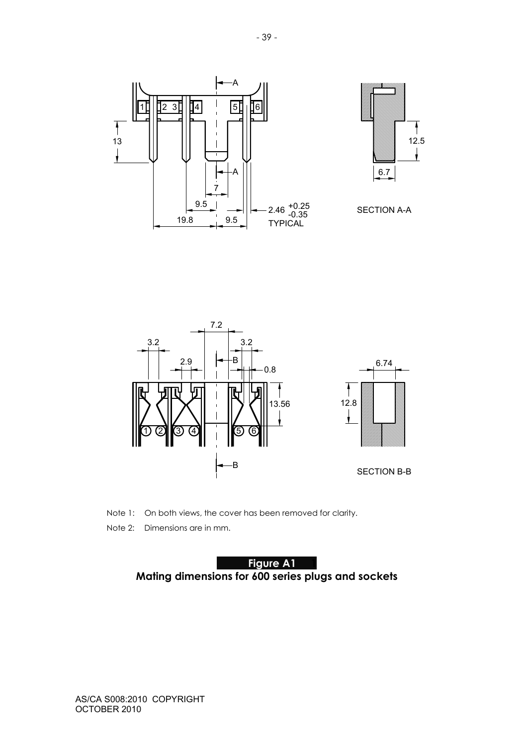











Note 1: On both views, the cover has been removed for clarity.

Note 2: Dimensions are in mm.

**Figure A1 Mating dimensions for 600 series plugs and sockets**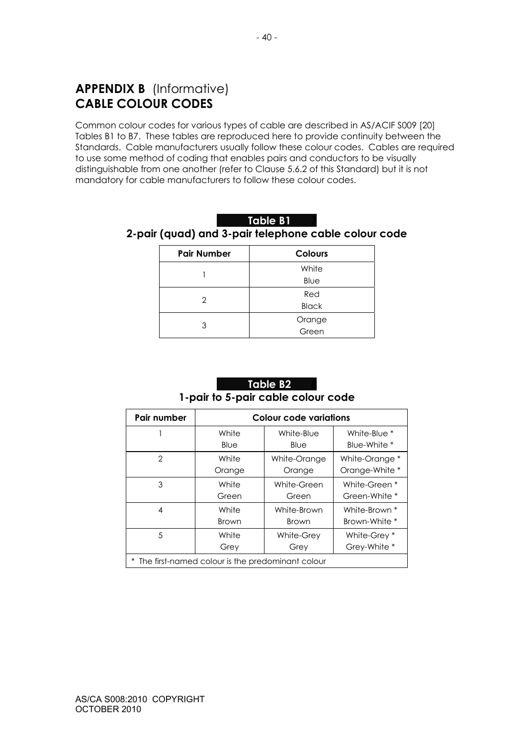# **APPENDIX B** (Informative) **CABLE COLOUR CODES**

Common colour codes for various types of cable are described in AS/ACIF S009 [20] Tables B1 to B7. These tables are reproduced here to provide continuity between the Standards. Cable manufacturers usually follow these colour codes. Cables are required to use some method of coding that enables pairs and conductors to be visually distinguishable from one another (refer to Clause 5.6.2 of this Standard) but it is not mandatory for cable manufacturers to follow these colour codes.

| Table B1 |                                                      |
|----------|------------------------------------------------------|
|          | 2-pair (quad) and 3-pair telephone cable colour code |

| <b>Pair Number</b> | <b>Colours</b> |
|--------------------|----------------|
|                    | White          |
|                    | Blue           |
| 2                  | Red            |
|                    | <b>Black</b>   |
| 3                  | Orange         |
|                    | Green          |

# **Table B2 1-pair to 5-pair cable colour code**

| Pair number                                        | <b>Colour code variations</b> |              |                |  |
|----------------------------------------------------|-------------------------------|--------------|----------------|--|
|                                                    | White                         | White-Blue   | White-Blue *   |  |
|                                                    | Blue                          | Blue         | Blue-White *   |  |
| 2                                                  | White                         | White-Orange | White-Orange * |  |
|                                                    | Orange                        | Orange       | Orange-White * |  |
| 3                                                  | White                         | White-Green  | White-Green *  |  |
|                                                    | Green                         | Green        | Green-White *  |  |
| 4                                                  | White                         | White-Brown  | White-Brown *  |  |
|                                                    | <b>Brown</b>                  | <b>Brown</b> | Brown-White *  |  |
| 5                                                  | White                         | White-Grey   | White-Grey *   |  |
|                                                    | Grey                          | Grey         | Grey-White *   |  |
| * The first-named colour is the predominant colour |                               |              |                |  |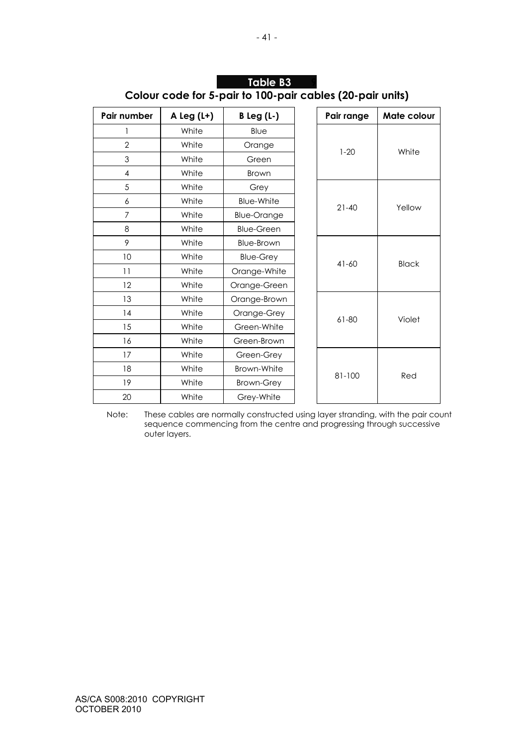| Pair number    | A Leg $(L+)$ | $B$ Leg (L-)       |  | Pair range    | Mate colour  |
|----------------|--------------|--------------------|--|---------------|--------------|
|                | White        | Blue               |  |               |              |
| $\overline{2}$ | White        | Orange             |  | $1 - 20$      | White        |
| 3              | White        | Green              |  |               |              |
| $\overline{4}$ | White        | <b>Brown</b>       |  |               |              |
| 5              | White        | Grey               |  |               |              |
| 6              | White        | <b>Blue-White</b>  |  | $21 - 40$     | Yellow       |
| $\overline{7}$ | White        | <b>Blue-Orange</b> |  |               |              |
| 8              | White        | <b>Blue-Green</b>  |  |               |              |
| 9              | White        | Blue-Brown         |  |               |              |
| 10             | White        | <b>Blue-Grey</b>   |  | $41 - 60$     | <b>Black</b> |
| 11             | White        | Orange-White       |  |               |              |
| 12             | White        | Orange-Green       |  |               |              |
| 13             | White        | Orange-Brown       |  |               |              |
| 14             | White        | Orange-Grey        |  | 61-80         | Violet       |
| 15             | White        | Green-White        |  |               |              |
| 16             | White        | Green-Brown        |  |               |              |
| 17             | White        | Green-Grey         |  |               |              |
| 18             | White        | Brown-White        |  | 81-100<br>Red |              |
| 19             | White        | <b>Brown-Grey</b>  |  |               |              |
| 20             | White        | Grey-White         |  |               |              |

| lTable B3' |                                                           |
|------------|-----------------------------------------------------------|
|            | Colour code for 5-pair to 100-pair cables (20-pair units) |

Note: These cables are normally constructed using layer stranding, with the pair count sequence commencing from the centre and progressing through successive outer layers.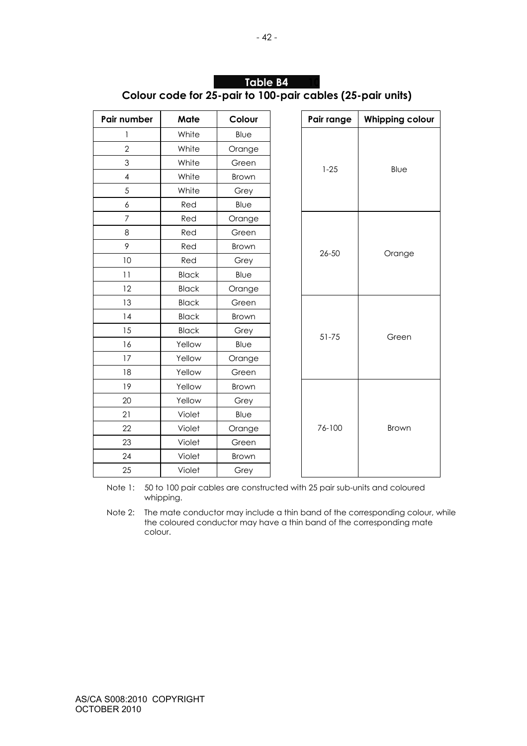| Pair number              | Mate         | Colour       | Pair range | <b>Whipping colour</b> |
|--------------------------|--------------|--------------|------------|------------------------|
| 1                        | White        | Blue         |            |                        |
| $\overline{2}$           | White        | Orange       |            |                        |
| 3                        | White        | Green        |            |                        |
| $\overline{\mathcal{A}}$ | White        | <b>Brown</b> | $1 - 25$   | Blue                   |
| 5                        | White        | Grey         |            |                        |
| $\boldsymbol{6}$         | Red          | Blue         |            |                        |
| $\overline{7}$           | Red          | Orange       |            |                        |
| 8                        | Red          | Green        |            |                        |
| 9                        | Red          | <b>Brown</b> | $26 - 50$  |                        |
| 10                       | Red          | Grey         |            | Orange                 |
| 11                       | <b>Black</b> | Blue         |            |                        |
| 12                       | <b>Black</b> | Orange       |            |                        |
| 13                       | <b>Black</b> | Green        |            |                        |
| 14                       | <b>Black</b> | Brown        |            | Green                  |
| 15                       | <b>Black</b> | Grey         | 51-75      |                        |
| 16                       | Yellow       | Blue         |            |                        |
| 17                       | Yellow       | Orange       |            |                        |
| 18                       | Yellow       | Green        |            |                        |
| 19                       | Yellow       | Brown        |            |                        |
| 20                       | Yellow       | Grey         |            |                        |
| 21                       | Violet       | Blue         |            |                        |
| 22                       | Violet       | Orange       | 76-100     | Brown                  |
| 23                       | Violet       | Green        |            |                        |
| 24                       | Violet       | <b>Brown</b> |            |                        |
| 25                       | Violet       | Grey         |            |                        |

# **Table B4 Colour code for 25-pair to 100-pair cables (25-pair units)**

Note 1: 50 to 100 pair cables are constructed with 25 pair sub-units and coloured whipping.

Note 2: The mate conductor may include a thin band of the corresponding colour, while the coloured conductor may have a thin band of the corresponding mate colour.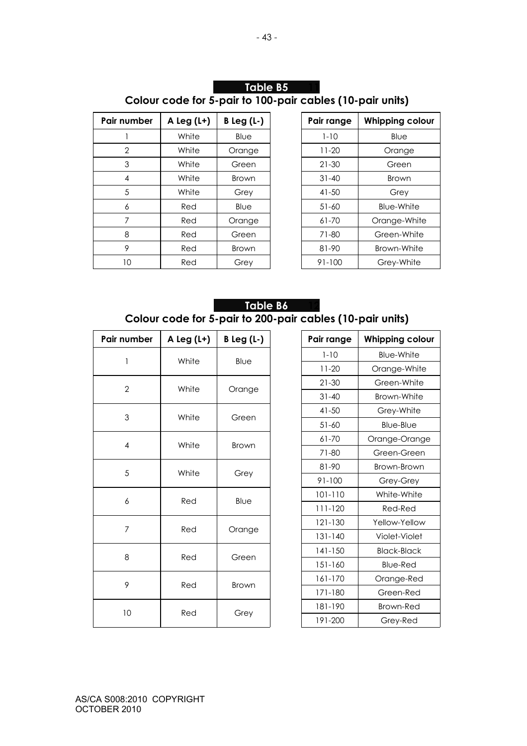# **Table B5 Colour code for 5-pair to 100-pair cables (10-pair units)**

| Pair number    | A Leg $(L+)$ | $B$ Leg (L-) | Pair range | <b>Whipping colour</b> |
|----------------|--------------|--------------|------------|------------------------|
|                | White        | Blue         | $1 - 10$   | Blue                   |
| $\overline{2}$ | White        | Orange       | $11 - 20$  | Orange                 |
| 3              | White        | Green        | $21 - 30$  | Green                  |
| $\overline{4}$ | White        | <b>Brown</b> | $31 - 40$  | <b>Brown</b>           |
| 5              | White        | Grey         | $41 - 50$  | Grey                   |
| 6              | Red          | Blue         | $51 - 60$  | Blue-White             |
| 7              | Red          | Orange       | $61 - 70$  | Orange-White           |
| 8              | Red          | Green        | 71-80      | Green-White            |
| 9              | Red          | <b>Brown</b> | 81-90      | Brown-White            |
| 10             | Red          | Grey         | 91-100     | Grey-White             |

| Pair range | <b>Whipping colour</b> |
|------------|------------------------|
| $1 - 10$   | Blue                   |
| 11-20      | Orange                 |
| 21-30      | Green                  |
| $31 - 40$  | Brown                  |
| $41 - 50$  | Grey                   |
| 51-60      | <b>Blue-White</b>      |
| 61-70      | Orange-White           |
| 71-80      | Green-White            |
| 81-90      | Brown-White            |
| 91-100     | Grey-White             |

# **Table B6 Colour code for 5-pair to 200-pair cables (10-pair units)**

| Pair number    | A Leg (L+) | $B$ Leg (L-) | Pair range  | <b>Whipping colour</b> |
|----------------|------------|--------------|-------------|------------------------|
| 1              | White      | Blue         | $1 - 10$    | Blue-White             |
|                |            |              | $11 - 20$   | Orange-White           |
| $\overline{2}$ | White      | Orange       | $21 - 30$   | Green-White            |
|                |            |              | $31 - 40$   | Brown-White            |
| 3              | White      | Green        | $41 - 50$   | Grey-White             |
|                |            |              | $51 - 60$   | Blue-Blue              |
| $\overline{4}$ | White      | <b>Brown</b> | 61-70       | Orange-Orange          |
|                |            |              | 71-80       | Green-Green            |
| 5              | White      | Grey         | 81-90       | Brown-Brown            |
|                |            |              | $91 - 100$  | Grey-Grey              |
| 6              | Red        | Blue         | 101-110     | White-White            |
|                |            |              | 111-120     | Red-Red                |
| $\overline{7}$ | Red        | Orange       | 121-130     | Yellow-Yellow          |
|                |            |              | 131-140     | Violet-Violet          |
| 8              | Red        | Green        | $141 - 150$ | <b>Black-Black</b>     |
|                |            |              | 151-160     | <b>Blue-Red</b>        |
| 9              | Red        | <b>Brown</b> | 161-170     | Orange-Red             |
|                |            |              | 171-180     | Green-Red              |
| 10             | Red        | Grey         | 181-190     | <b>Brown-Red</b>       |
|                |            |              | 191-200     | Grey-Red               |

| Pair range  | <b>Whipping colour</b> |  |  |
|-------------|------------------------|--|--|
| $1 - 10$    | <b>Blue-White</b>      |  |  |
| $11-20$     | Orange-White           |  |  |
| 21-30       | Green-White            |  |  |
| $31 - 40$   | Brown-White            |  |  |
| 41-50       | Grey-White             |  |  |
| $51 - 60$   | Blue-Blue              |  |  |
| 61-70       | Orange-Orange          |  |  |
| 71-80       | Green-Green            |  |  |
| 81-90       | Brown-Brown            |  |  |
| $91 - 100$  | Grey-Grey              |  |  |
| 101-110     | White-White            |  |  |
| 111-120     | Red-Red                |  |  |
| 121-130     | Yellow-Yellow          |  |  |
| $131 - 140$ | Violet-Violet          |  |  |
| 141-150     | <b>Black-Black</b>     |  |  |
| 151-160     | <b>Blue-Red</b>        |  |  |
| 161-170     | Orange-Red             |  |  |
| 171-180     | Green-Red              |  |  |
| 181-190     | Brown-Red              |  |  |
| 191-200     | Grey-Red               |  |  |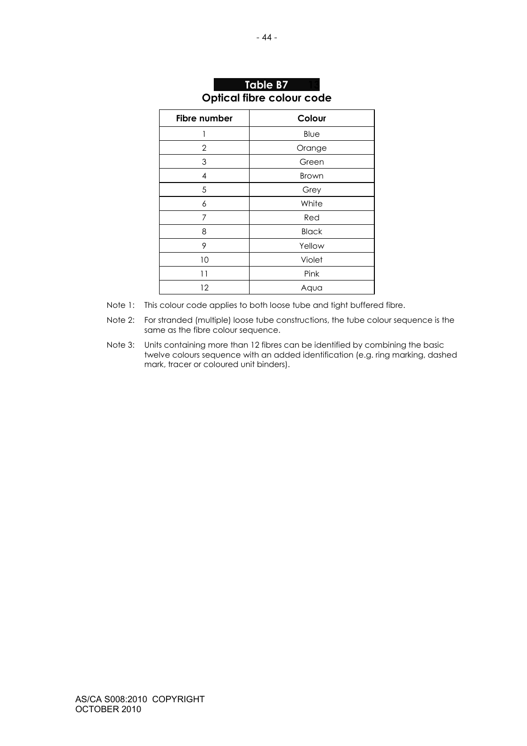| <b>Fibre number</b>      | Colour       |
|--------------------------|--------------|
| 1                        | Blue         |
| $\mathbf{2}$             | Orange       |
| 3                        | Green        |
| $\overline{\mathcal{A}}$ | <b>Brown</b> |
| 5                        | Grey         |
| 6                        | White        |
| 7                        | Red          |
| 8                        | <b>Black</b> |
| 9                        | Yellow       |
| 10                       | Violet       |
| 11                       | Pink         |
| 12                       | Aqua         |

# **Table B7 Optical fibre colour code**

Note 1: This colour code applies to both loose tube and tight buffered fibre.

Note 2: For stranded (multiple) loose tube constructions, the tube colour sequence is the same as the fibre colour sequence.

Note 3: Units containing more than 12 fibres can be identified by combining the basic twelve colours sequence with an added identification (e.g. ring marking, dashed mark, tracer or coloured unit binders).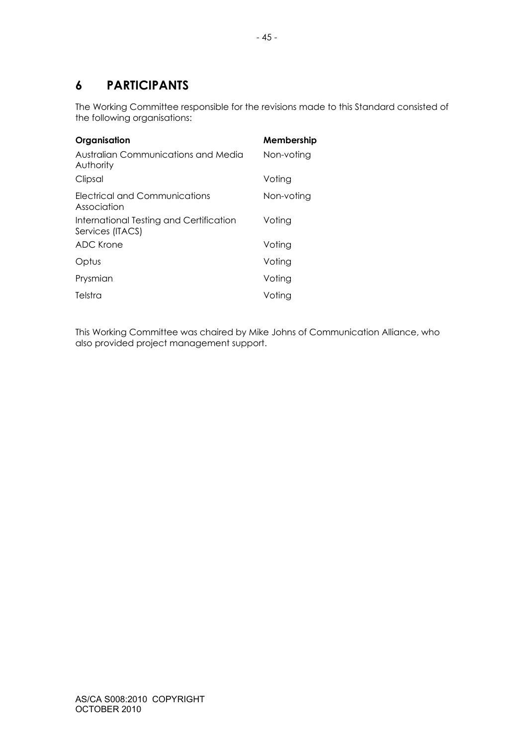# **6 PARTICIPANTS**

The Working Committee responsible for the revisions made to this Standard consisted of the following organisations:

| Organisation                                                | Membership |
|-------------------------------------------------------------|------------|
| Australian Communications and Media<br>Authority            | Non-voting |
| Clipsal                                                     | Voting     |
| Electrical and Communications<br>Association                | Non-voting |
| International Testing and Certification<br>Services (ITACS) | Voting     |
| ADC Krone                                                   | Voting     |
| Optus                                                       | Voting     |
| Prysmian                                                    | Voting     |
| Telstra                                                     | Voting     |

This Working Committee was chaired by Mike Johns of Communication Alliance, who also provided project management support.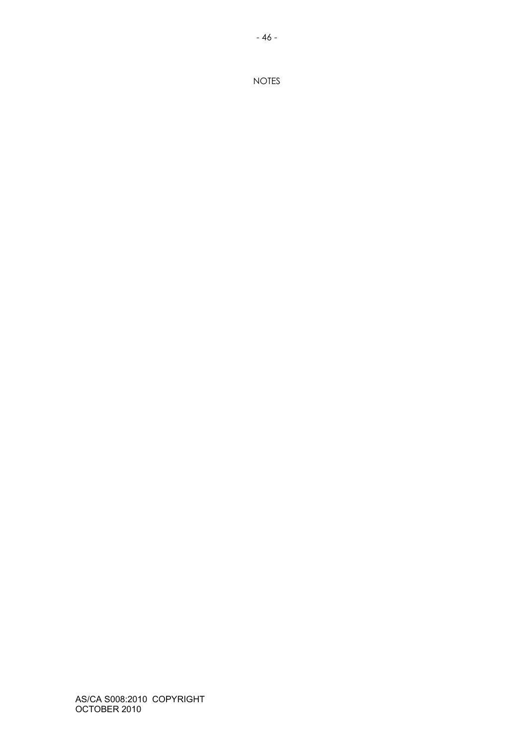AS/CA S008:2010 COPYRIGHT OCTOBER 2010

NOTES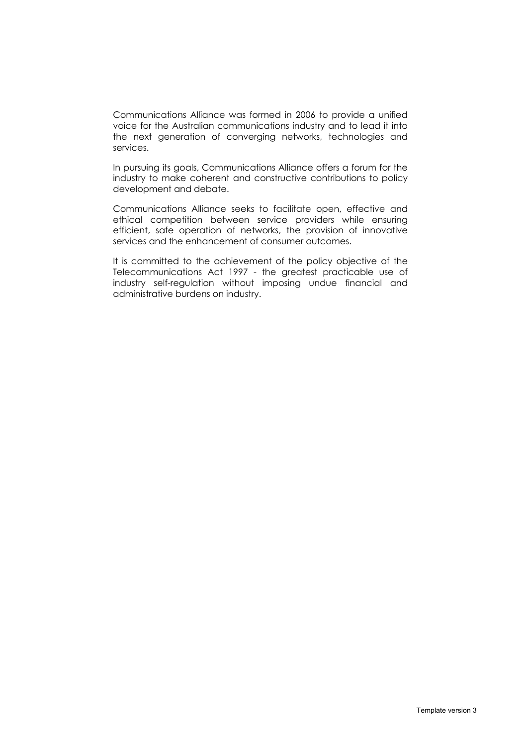Communications Alliance was formed in 2006 to provide a unified voice for the Australian communications industry and to lead it into the next generation of converging networks, technologies and services.

In pursuing its goals, Communications Alliance offers a forum for the industry to make coherent and constructive contributions to policy development and debate.

Communications Alliance seeks to facilitate open, effective and ethical competition between service providers while ensuring efficient, safe operation of networks, the provision of innovative services and the enhancement of consumer outcomes.

It is committed to the achievement of the policy objective of the Telecommunications Act 1997 - the greatest practicable use of industry self-regulation without imposing undue financial and administrative burdens on industry.